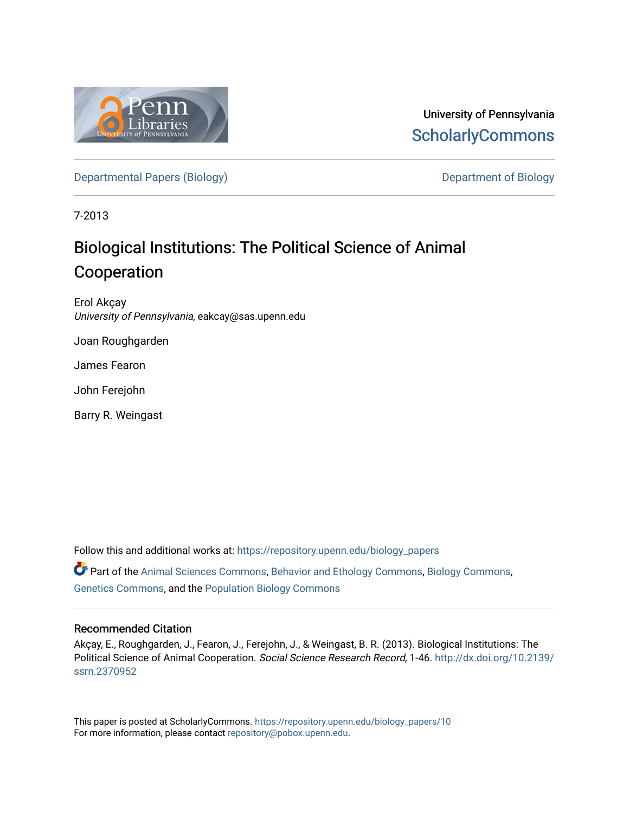

University of Pennsylvania **ScholarlyCommons** 

[Departmental Papers \(Biology\)](https://repository.upenn.edu/biology_papers) and Department of Biology

7-2013

## Biological Institutions: The Political Science of Animal Cooperation

Erol Akçay University of Pennsylvania, eakcay@sas.upenn.edu

Joan Roughgarden

James Fearon

John Ferejohn

Barry R. Weingast

Follow this and additional works at: [https://repository.upenn.edu/biology\\_papers](https://repository.upenn.edu/biology_papers?utm_source=repository.upenn.edu%2Fbiology_papers%2F10&utm_medium=PDF&utm_campaign=PDFCoverPages)  Part of the [Animal Sciences Commons,](http://network.bepress.com/hgg/discipline/76?utm_source=repository.upenn.edu%2Fbiology_papers%2F10&utm_medium=PDF&utm_campaign=PDFCoverPages) [Behavior and Ethology Commons](http://network.bepress.com/hgg/discipline/15?utm_source=repository.upenn.edu%2Fbiology_papers%2F10&utm_medium=PDF&utm_campaign=PDFCoverPages), [Biology Commons](http://network.bepress.com/hgg/discipline/41?utm_source=repository.upenn.edu%2Fbiology_papers%2F10&utm_medium=PDF&utm_campaign=PDFCoverPages), [Genetics Commons,](http://network.bepress.com/hgg/discipline/29?utm_source=repository.upenn.edu%2Fbiology_papers%2F10&utm_medium=PDF&utm_campaign=PDFCoverPages) and the [Population Biology Commons](http://network.bepress.com/hgg/discipline/19?utm_source=repository.upenn.edu%2Fbiology_papers%2F10&utm_medium=PDF&utm_campaign=PDFCoverPages)

#### Recommended Citation

Akçay, E., Roughgarden, J., Fearon, J., Ferejohn, J., & Weingast, B. R. (2013). Biological Institutions: The Political Science of Animal Cooperation. Social Science Research Record, 1-46. [http://dx.doi.org/10.2139/](http://dx.doi.org/10.2139/ssrn.2370952) [ssrn.2370952](http://dx.doi.org/10.2139/ssrn.2370952)

This paper is posted at ScholarlyCommons. [https://repository.upenn.edu/biology\\_papers/10](https://repository.upenn.edu/biology_papers/10) For more information, please contact [repository@pobox.upenn.edu.](mailto:repository@pobox.upenn.edu)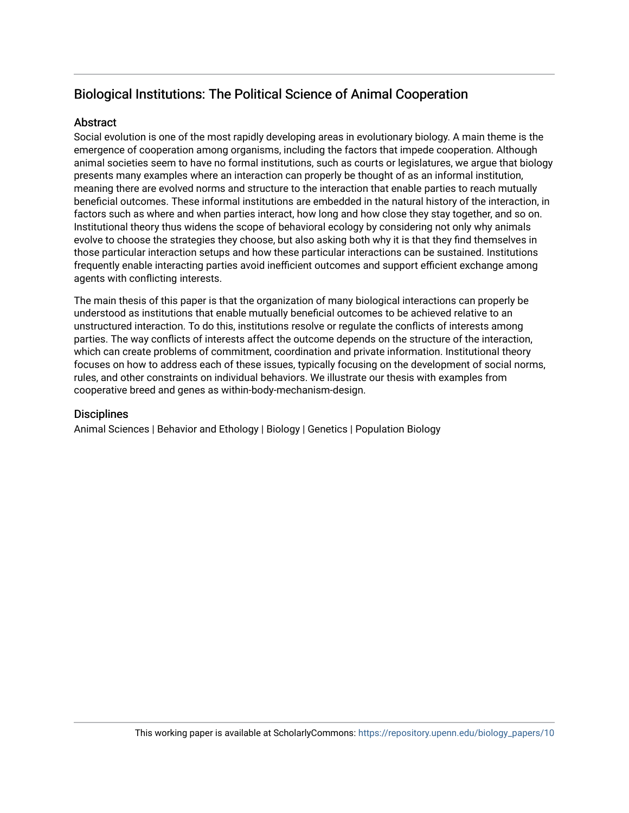## Biological Institutions: The Political Science of Animal Cooperation

#### **Abstract**

Social evolution is one of the most rapidly developing areas in evolutionary biology. A main theme is the emergence of cooperation among organisms, including the factors that impede cooperation. Although animal societies seem to have no formal institutions, such as courts or legislatures, we argue that biology presents many examples where an interaction can properly be thought of as an informal institution, meaning there are evolved norms and structure to the interaction that enable parties to reach mutually beneficial outcomes. These informal institutions are embedded in the natural history of the interaction, in factors such as where and when parties interact, how long and how close they stay together, and so on. Institutional theory thus widens the scope of behavioral ecology by considering not only why animals evolve to choose the strategies they choose, but also asking both why it is that they find themselves in those particular interaction setups and how these particular interactions can be sustained. Institutions frequently enable interacting parties avoid inefficient outcomes and support efficient exchange among agents with conflicting interests.

The main thesis of this paper is that the organization of many biological interactions can properly be understood as institutions that enable mutually beneficial outcomes to be achieved relative to an unstructured interaction. To do this, institutions resolve or regulate the conflicts of interests among parties. The way conflicts of interests affect the outcome depends on the structure of the interaction, which can create problems of commitment, coordination and private information. Institutional theory focuses on how to address each of these issues, typically focusing on the development of social norms, rules, and other constraints on individual behaviors. We illustrate our thesis with examples from cooperative breed and genes as within-body-mechanism-design.

#### **Disciplines**

Animal Sciences | Behavior and Ethology | Biology | Genetics | Population Biology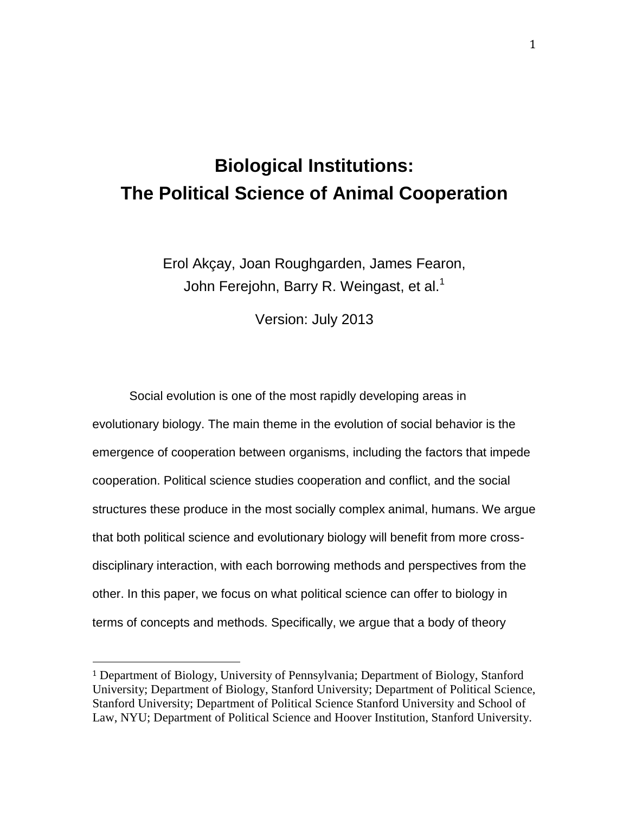# **Biological Institutions: The Political Science of Animal Cooperation**

Erol Akçay, Joan Roughgarden, James Fearon, John Ferejohn, Barry R. Weingast, et al.<sup>1</sup>

Version: July 2013

Social evolution is one of the most rapidly developing areas in evolutionary biology. The main theme in the evolution of social behavior is the emergence of cooperation between organisms, including the factors that impede cooperation. Political science studies cooperation and conflict, and the social structures these produce in the most socially complex animal, humans. We argue that both political science and evolutionary biology will benefit from more crossdisciplinary interaction, with each borrowing methods and perspectives from the other. In this paper, we focus on what political science can offer to biology in terms of concepts and methods. Specifically, we argue that a body of theory

 $\overline{a}$ 

<sup>1</sup> Department of Biology, University of Pennsylvania; Department of Biology, Stanford University; Department of Biology, Stanford University; Department of Political Science, Stanford University; Department of Political Science Stanford University and School of Law, NYU; Department of Political Science and Hoover Institution, Stanford University.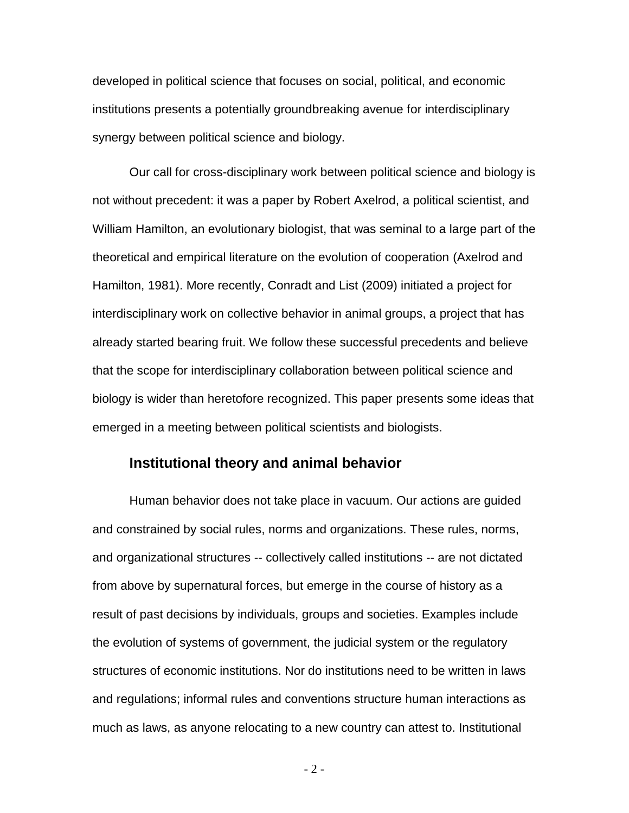developed in political science that focuses on social, political, and economic institutions presents a potentially groundbreaking avenue for interdisciplinary synergy between political science and biology.

Our call for cross-disciplinary work between political science and biology is not without precedent: it was a paper by Robert Axelrod, a political scientist, and William Hamilton, an evolutionary biologist, that was seminal to a large part of the theoretical and empirical literature on the evolution of cooperation (Axelrod and Hamilton, 1981). More recently, Conradt and List (2009) initiated a project for interdisciplinary work on collective behavior in animal groups, a project that has already started bearing fruit. We follow these successful precedents and believe that the scope for interdisciplinary collaboration between political science and biology is wider than heretofore recognized. This paper presents some ideas that emerged in a meeting between political scientists and biologists.

## **Institutional theory and animal behavior**

Human behavior does not take place in vacuum. Our actions are guided and constrained by social rules, norms and organizations. These rules, norms, and organizational structures -- collectively called institutions -- are not dictated from above by supernatural forces, but emerge in the course of history as a result of past decisions by individuals, groups and societies. Examples include the evolution of systems of government, the judicial system or the regulatory structures of economic institutions. Nor do institutions need to be written in laws and regulations; informal rules and conventions structure human interactions as much as laws, as anyone relocating to a new country can attest to. Institutional

- 2 -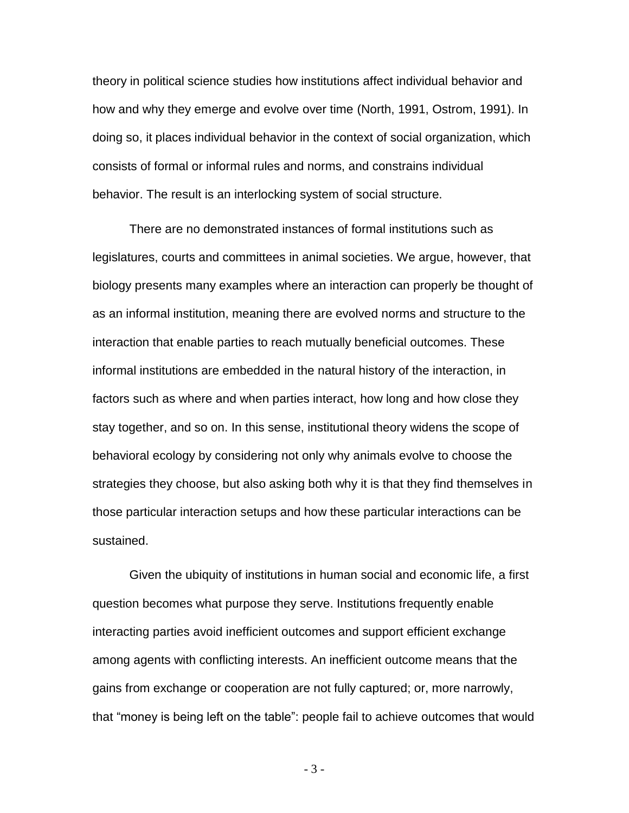theory in political science studies how institutions affect individual behavior and how and why they emerge and evolve over time (North, 1991, Ostrom, 1991). In doing so, it places individual behavior in the context of social organization, which consists of formal or informal rules and norms, and constrains individual behavior. The result is an interlocking system of social structure.

There are no demonstrated instances of formal institutions such as legislatures, courts and committees in animal societies. We argue, however, that biology presents many examples where an interaction can properly be thought of as an informal institution, meaning there are evolved norms and structure to the interaction that enable parties to reach mutually beneficial outcomes. These informal institutions are embedded in the natural history of the interaction, in factors such as where and when parties interact, how long and how close they stay together, and so on. In this sense, institutional theory widens the scope of behavioral ecology by considering not only why animals evolve to choose the strategies they choose, but also asking both why it is that they find themselves in those particular interaction setups and how these particular interactions can be sustained.

Given the ubiquity of institutions in human social and economic life, a first question becomes what purpose they serve. Institutions frequently enable interacting parties avoid inefficient outcomes and support efficient exchange among agents with conflicting interests. An inefficient outcome means that the gains from exchange or cooperation are not fully captured; or, more narrowly, that "money is being left on the table": people fail to achieve outcomes that would

- 3 -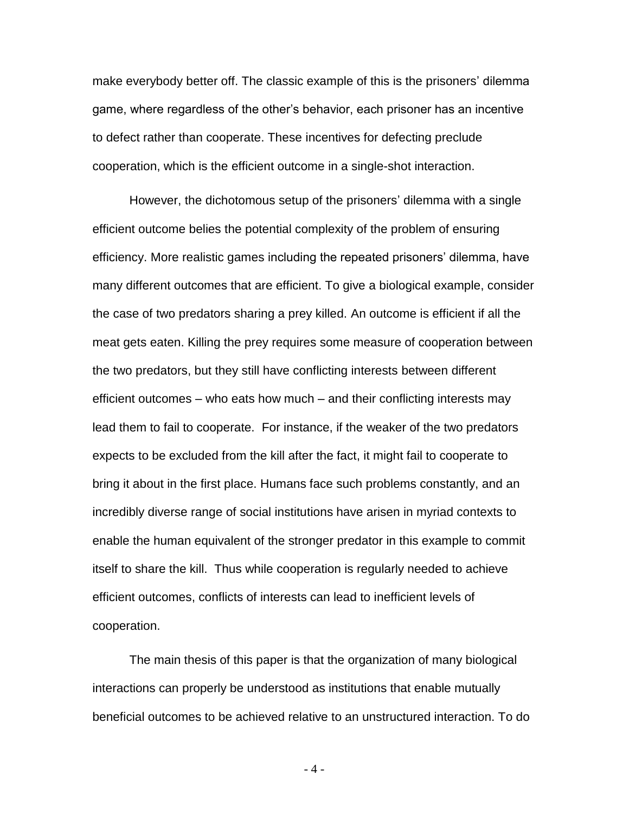make everybody better off. The classic example of this is the prisoners' dilemma game, where regardless of the other's behavior, each prisoner has an incentive to defect rather than cooperate. These incentives for defecting preclude cooperation, which is the efficient outcome in a single-shot interaction.

However, the dichotomous setup of the prisoners' dilemma with a single efficient outcome belies the potential complexity of the problem of ensuring efficiency. More realistic games including the repeated prisoners' dilemma, have many different outcomes that are efficient. To give a biological example, consider the case of two predators sharing a prey killed. An outcome is efficient if all the meat gets eaten. Killing the prey requires some measure of cooperation between the two predators, but they still have conflicting interests between different efficient outcomes – who eats how much – and their conflicting interests may lead them to fail to cooperate. For instance, if the weaker of the two predators expects to be excluded from the kill after the fact, it might fail to cooperate to bring it about in the first place. Humans face such problems constantly, and an incredibly diverse range of social institutions have arisen in myriad contexts to enable the human equivalent of the stronger predator in this example to commit itself to share the kill. Thus while cooperation is regularly needed to achieve efficient outcomes, conflicts of interests can lead to inefficient levels of cooperation.

The main thesis of this paper is that the organization of many biological interactions can properly be understood as institutions that enable mutually beneficial outcomes to be achieved relative to an unstructured interaction. To do

- 4 -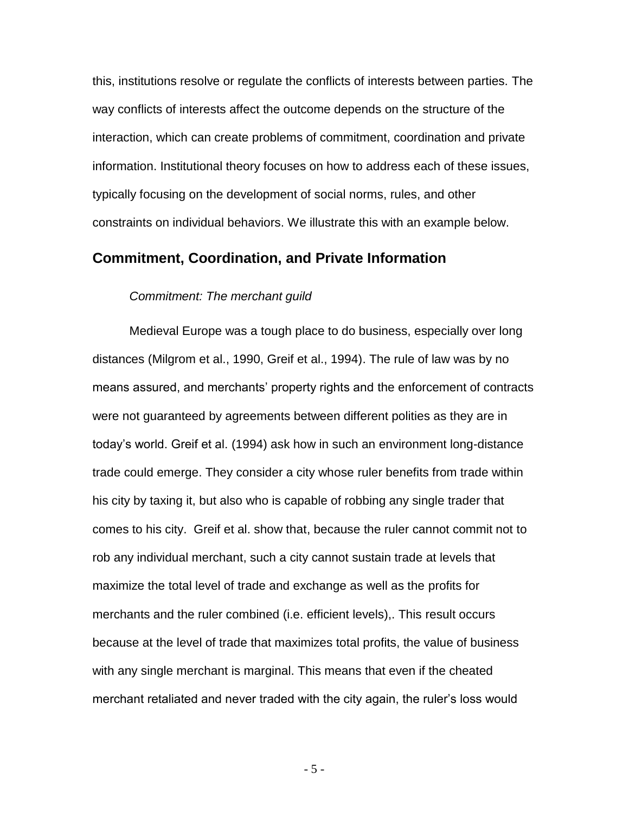this, institutions resolve or regulate the conflicts of interests between parties. The way conflicts of interests affect the outcome depends on the structure of the interaction, which can create problems of commitment, coordination and private information. Institutional theory focuses on how to address each of these issues, typically focusing on the development of social norms, rules, and other constraints on individual behaviors. We illustrate this with an example below.

## **Commitment, Coordination, and Private Information**

#### *Commitment: The merchant guild*

Medieval Europe was a tough place to do business, especially over long distances (Milgrom et al., 1990, Greif et al., 1994). The rule of law was by no means assured, and merchants' property rights and the enforcement of contracts were not guaranteed by agreements between different polities as they are in today's world. Greif et al. (1994) ask how in such an environment long-distance trade could emerge. They consider a city whose ruler benefits from trade within his city by taxing it, but also who is capable of robbing any single trader that comes to his city. Greif et al. show that, because the ruler cannot commit not to rob any individual merchant, such a city cannot sustain trade at levels that maximize the total level of trade and exchange as well as the profits for merchants and the ruler combined (i.e. efficient levels),. This result occurs because at the level of trade that maximizes total profits, the value of business with any single merchant is marginal. This means that even if the cheated merchant retaliated and never traded with the city again, the ruler's loss would

- 5 -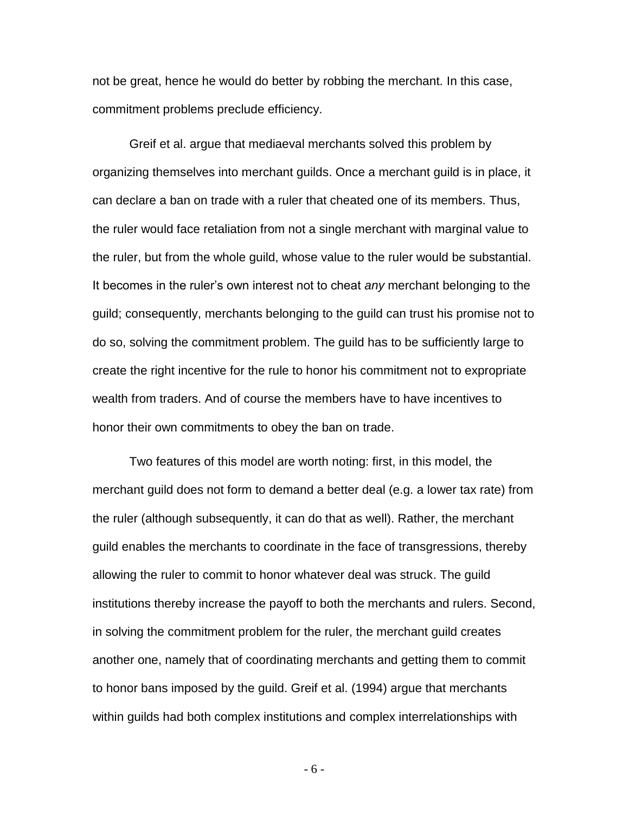not be great, hence he would do better by robbing the merchant. In this case, commitment problems preclude efficiency.

Greif et al. argue that mediaeval merchants solved this problem by organizing themselves into merchant guilds. Once a merchant guild is in place, it can declare a ban on trade with a ruler that cheated one of its members. Thus, the ruler would face retaliation from not a single merchant with marginal value to the ruler, but from the whole guild, whose value to the ruler would be substantial. It becomes in the ruler's own interest not to cheat *any* merchant belonging to the guild; consequently, merchants belonging to the guild can trust his promise not to do so, solving the commitment problem. The guild has to be sufficiently large to create the right incentive for the rule to honor his commitment not to expropriate wealth from traders. And of course the members have to have incentives to honor their own commitments to obey the ban on trade.

Two features of this model are worth noting: first, in this model, the merchant guild does not form to demand a better deal (e.g. a lower tax rate) from the ruler (although subsequently, it can do that as well). Rather, the merchant guild enables the merchants to coordinate in the face of transgressions, thereby allowing the ruler to commit to honor whatever deal was struck. The guild institutions thereby increase the payoff to both the merchants and rulers. Second, in solving the commitment problem for the ruler, the merchant guild creates another one, namely that of coordinating merchants and getting them to commit to honor bans imposed by the guild. Greif et al. (1994) argue that merchants within guilds had both complex institutions and complex interrelationships with

- 6 -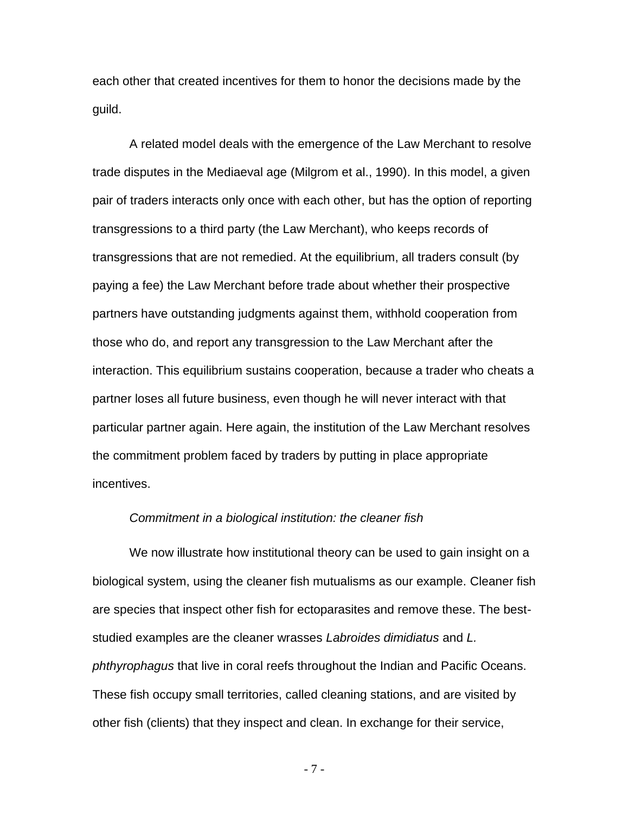each other that created incentives for them to honor the decisions made by the guild.

A related model deals with the emergence of the Law Merchant to resolve trade disputes in the Mediaeval age (Milgrom et al., 1990). In this model, a given pair of traders interacts only once with each other, but has the option of reporting transgressions to a third party (the Law Merchant), who keeps records of transgressions that are not remedied. At the equilibrium, all traders consult (by paying a fee) the Law Merchant before trade about whether their prospective partners have outstanding judgments against them, withhold cooperation from those who do, and report any transgression to the Law Merchant after the interaction. This equilibrium sustains cooperation, because a trader who cheats a partner loses all future business, even though he will never interact with that particular partner again. Here again, the institution of the Law Merchant resolves the commitment problem faced by traders by putting in place appropriate incentives.

#### *Commitment in a biological institution: the cleaner fish*

We now illustrate how institutional theory can be used to gain insight on a biological system, using the cleaner fish mutualisms as our example. Cleaner fish are species that inspect other fish for ectoparasites and remove these. The beststudied examples are the cleaner wrasses *Labroides dimidiatus* and *L. phthyrophagus* that live in coral reefs throughout the Indian and Pacific Oceans. These fish occupy small territories, called cleaning stations, and are visited by other fish (clients) that they inspect and clean. In exchange for their service,

- 7 -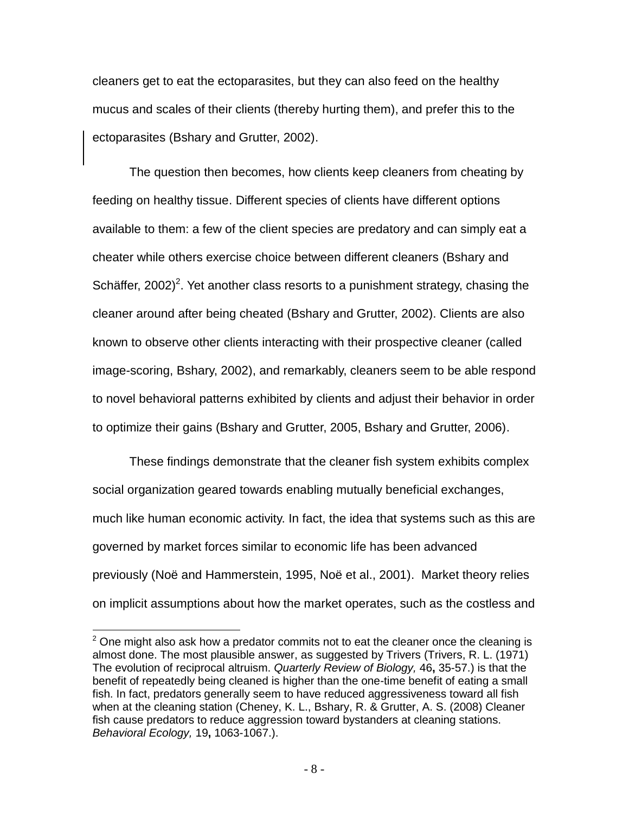cleaners get to eat the ectoparasites, but they can also feed on the healthy mucus and scales of their clients (thereby hurting them), and prefer this to the ectoparasites (Bshary and Grutter, 2002).

The question then becomes, how clients keep cleaners from cheating by feeding on healthy tissue. Different species of clients have different options available to them: a few of the client species are predatory and can simply eat a cheater while others exercise choice between different cleaners (Bshary and Schäffer, 2002)<sup>2</sup>. Yet another class resorts to a punishment strategy, chasing the cleaner around after being cheated (Bshary and Grutter, 2002). Clients are also known to observe other clients interacting with their prospective cleaner (called image-scoring, Bshary, 2002), and remarkably, cleaners seem to be able respond to novel behavioral patterns exhibited by clients and adjust their behavior in order to optimize their gains (Bshary and Grutter, 2005, Bshary and Grutter, 2006).

These findings demonstrate that the cleaner fish system exhibits complex social organization geared towards enabling mutually beneficial exchanges, much like human economic activity. In fact, the idea that systems such as this are governed by market forces similar to economic life has been advanced previously (Noë and Hammerstein, 1995, Noë et al., 2001). Market theory relies on implicit assumptions about how the market operates, such as the costless and

 $\overline{a}$ 

 $2$  One might also ask how a predator commits not to eat the cleaner once the cleaning is almost done. The most plausible answer, as suggested by Trivers (Trivers, R. L. (1971) The evolution of reciprocal altruism. *Quarterly Review of Biology,* 46**,** 35-57.) is that the benefit of repeatedly being cleaned is higher than the one-time benefit of eating a small fish. In fact, predators generally seem to have reduced aggressiveness toward all fish when at the cleaning station (Cheney, K. L., Bshary, R. & Grutter, A. S. (2008) Cleaner fish cause predators to reduce aggression toward bystanders at cleaning stations. *Behavioral Ecology,* 19**,** 1063-1067.).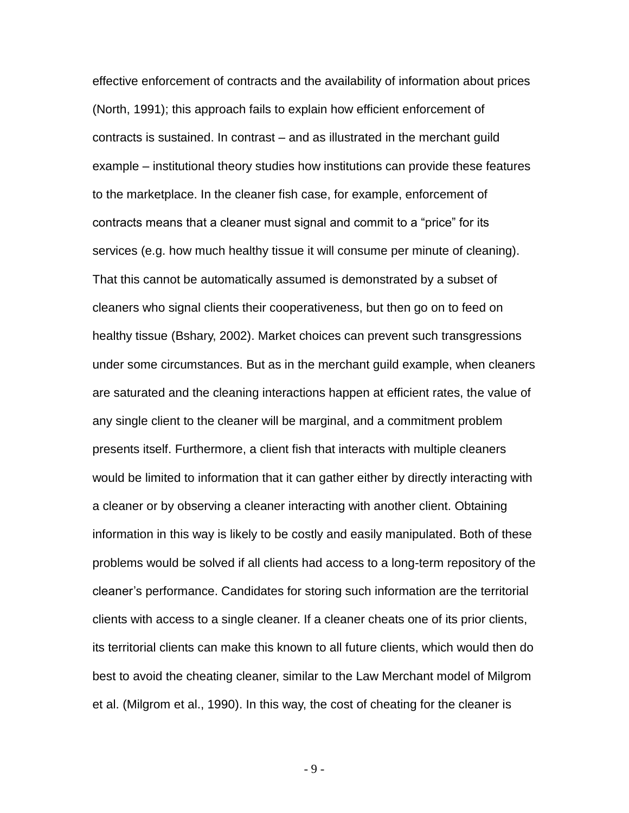effective enforcement of contracts and the availability of information about prices (North, 1991); this approach fails to explain how efficient enforcement of contracts is sustained. In contrast – and as illustrated in the merchant guild example – institutional theory studies how institutions can provide these features to the marketplace. In the cleaner fish case, for example, enforcement of contracts means that a cleaner must signal and commit to a "price" for its services (e.g. how much healthy tissue it will consume per minute of cleaning). That this cannot be automatically assumed is demonstrated by a subset of cleaners who signal clients their cooperativeness, but then go on to feed on healthy tissue (Bshary, 2002). Market choices can prevent such transgressions under some circumstances. But as in the merchant guild example, when cleaners are saturated and the cleaning interactions happen at efficient rates, the value of any single client to the cleaner will be marginal, and a commitment problem presents itself. Furthermore, a client fish that interacts with multiple cleaners would be limited to information that it can gather either by directly interacting with a cleaner or by observing a cleaner interacting with another client. Obtaining information in this way is likely to be costly and easily manipulated. Both of these problems would be solved if all clients had access to a long-term repository of the cleaner's performance. Candidates for storing such information are the territorial clients with access to a single cleaner. If a cleaner cheats one of its prior clients, its territorial clients can make this known to all future clients, which would then do best to avoid the cheating cleaner, similar to the Law Merchant model of Milgrom et al. (Milgrom et al., 1990). In this way, the cost of cheating for the cleaner is

- 9 -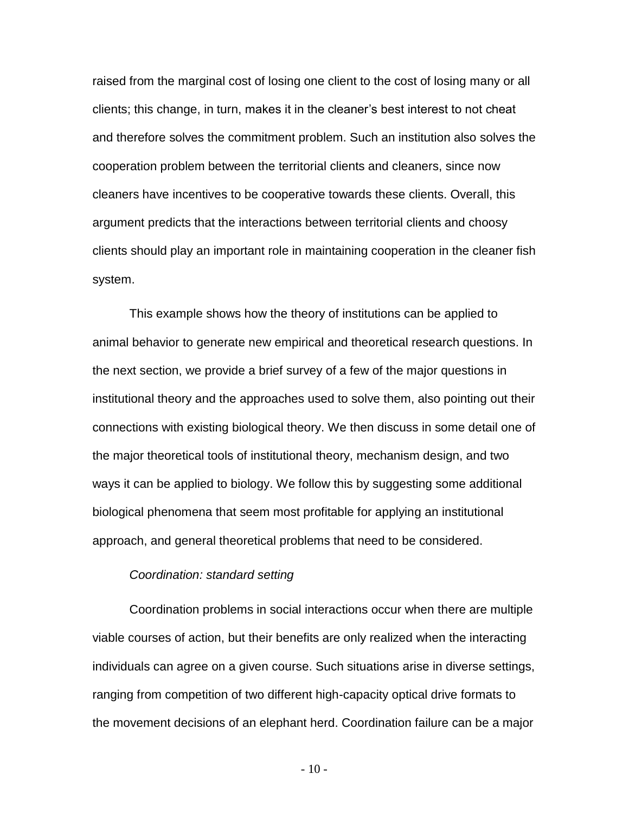raised from the marginal cost of losing one client to the cost of losing many or all clients; this change, in turn, makes it in the cleaner's best interest to not cheat and therefore solves the commitment problem. Such an institution also solves the cooperation problem between the territorial clients and cleaners, since now cleaners have incentives to be cooperative towards these clients. Overall, this argument predicts that the interactions between territorial clients and choosy clients should play an important role in maintaining cooperation in the cleaner fish system.

This example shows how the theory of institutions can be applied to animal behavior to generate new empirical and theoretical research questions. In the next section, we provide a brief survey of a few of the major questions in institutional theory and the approaches used to solve them, also pointing out their connections with existing biological theory. We then discuss in some detail one of the major theoretical tools of institutional theory, mechanism design, and two ways it can be applied to biology. We follow this by suggesting some additional biological phenomena that seem most profitable for applying an institutional approach, and general theoretical problems that need to be considered.

#### *Coordination: standard setting*

Coordination problems in social interactions occur when there are multiple viable courses of action, but their benefits are only realized when the interacting individuals can agree on a given course. Such situations arise in diverse settings, ranging from competition of two different high-capacity optical drive formats to the movement decisions of an elephant herd. Coordination failure can be a major

- 10 -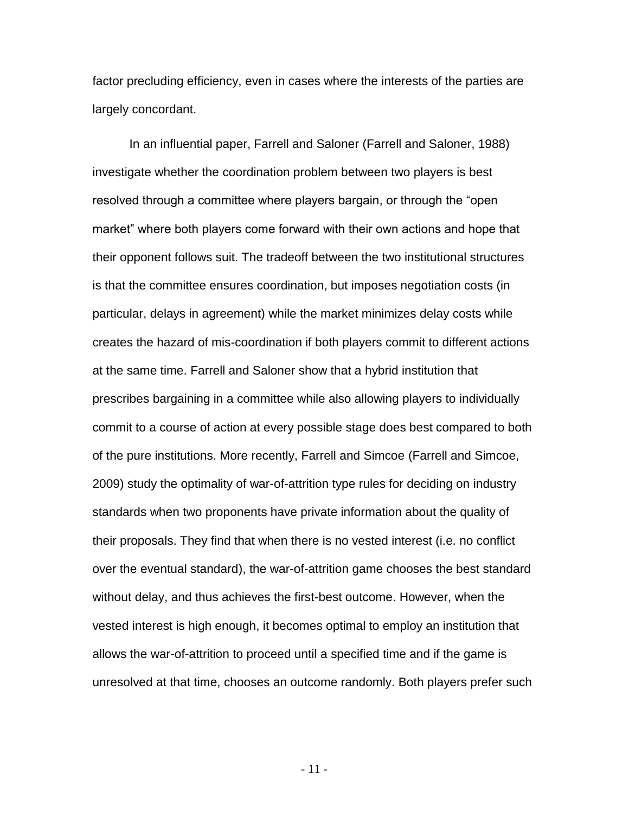factor precluding efficiency, even in cases where the interests of the parties are largely concordant.

In an influential paper, Farrell and Saloner (Farrell and Saloner, 1988) investigate whether the coordination problem between two players is best resolved through a committee where players bargain, or through the "open market" where both players come forward with their own actions and hope that their opponent follows suit. The tradeoff between the two institutional structures is that the committee ensures coordination, but imposes negotiation costs (in particular, delays in agreement) while the market minimizes delay costs while creates the hazard of mis-coordination if both players commit to different actions at the same time. Farrell and Saloner show that a hybrid institution that prescribes bargaining in a committee while also allowing players to individually commit to a course of action at every possible stage does best compared to both of the pure institutions. More recently, Farrell and Simcoe (Farrell and Simcoe, 2009) study the optimality of war-of-attrition type rules for deciding on industry standards when two proponents have private information about the quality of their proposals. They find that when there is no vested interest (i.e. no conflict over the eventual standard), the war-of-attrition game chooses the best standard without delay, and thus achieves the first-best outcome. However, when the vested interest is high enough, it becomes optimal to employ an institution that allows the war-of-attrition to proceed until a specified time and if the game is unresolved at that time, chooses an outcome randomly. Both players prefer such

- 11 -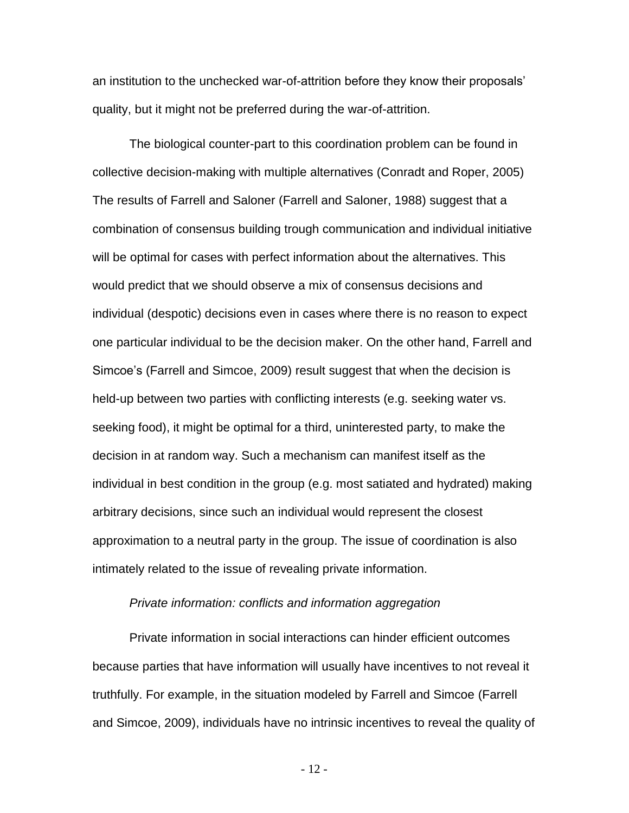an institution to the unchecked war-of-attrition before they know their proposals' quality, but it might not be preferred during the war-of-attrition.

The biological counter-part to this coordination problem can be found in collective decision-making with multiple alternatives (Conradt and Roper, 2005) The results of Farrell and Saloner (Farrell and Saloner, 1988) suggest that a combination of consensus building trough communication and individual initiative will be optimal for cases with perfect information about the alternatives. This would predict that we should observe a mix of consensus decisions and individual (despotic) decisions even in cases where there is no reason to expect one particular individual to be the decision maker. On the other hand, Farrell and Simcoe's (Farrell and Simcoe, 2009) result suggest that when the decision is held-up between two parties with conflicting interests (e.g. seeking water vs. seeking food), it might be optimal for a third, uninterested party, to make the decision in at random way. Such a mechanism can manifest itself as the individual in best condition in the group (e.g. most satiated and hydrated) making arbitrary decisions, since such an individual would represent the closest approximation to a neutral party in the group. The issue of coordination is also intimately related to the issue of revealing private information.

#### *Private information: conflicts and information aggregation*

Private information in social interactions can hinder efficient outcomes because parties that have information will usually have incentives to not reveal it truthfully. For example, in the situation modeled by Farrell and Simcoe (Farrell and Simcoe, 2009), individuals have no intrinsic incentives to reveal the quality of

- 12 -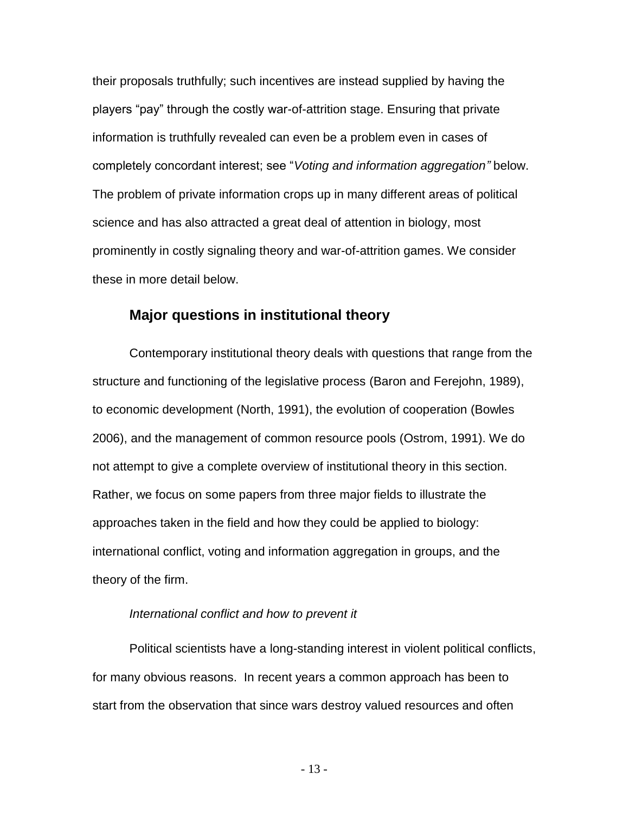their proposals truthfully; such incentives are instead supplied by having the players "pay" through the costly war-of-attrition stage. Ensuring that private information is truthfully revealed can even be a problem even in cases of completely concordant interest; see "*Voting and information aggregation"* below. The problem of private information crops up in many different areas of political science and has also attracted a great deal of attention in biology, most prominently in costly signaling theory and war-of-attrition games. We consider these in more detail below.

## **Major questions in institutional theory**

Contemporary institutional theory deals with questions that range from the structure and functioning of the legislative process (Baron and Ferejohn, 1989), to economic development (North, 1991), the evolution of cooperation (Bowles 2006), and the management of common resource pools (Ostrom, 1991). We do not attempt to give a complete overview of institutional theory in this section. Rather, we focus on some papers from three major fields to illustrate the approaches taken in the field and how they could be applied to biology: international conflict, voting and information aggregation in groups, and the theory of the firm.

#### *International conflict and how to prevent it*

Political scientists have a long-standing interest in violent political conflicts, for many obvious reasons. In recent years a common approach has been to start from the observation that since wars destroy valued resources and often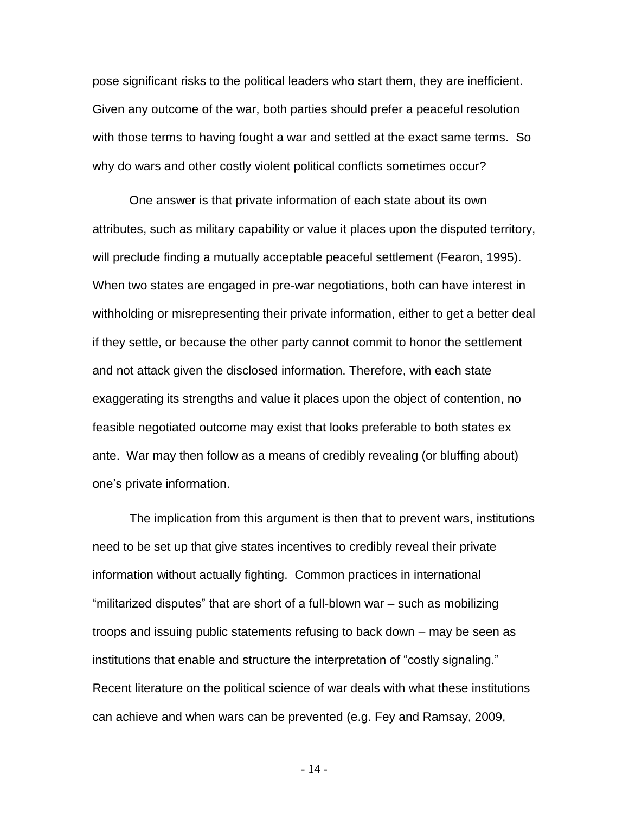pose significant risks to the political leaders who start them, they are inefficient. Given any outcome of the war, both parties should prefer a peaceful resolution with those terms to having fought a war and settled at the exact same terms. So why do wars and other costly violent political conflicts sometimes occur?

One answer is that private information of each state about its own attributes, such as military capability or value it places upon the disputed territory, will preclude finding a mutually acceptable peaceful settlement (Fearon, 1995). When two states are engaged in pre-war negotiations, both can have interest in withholding or misrepresenting their private information, either to get a better deal if they settle, or because the other party cannot commit to honor the settlement and not attack given the disclosed information. Therefore, with each state exaggerating its strengths and value it places upon the object of contention, no feasible negotiated outcome may exist that looks preferable to both states ex ante. War may then follow as a means of credibly revealing (or bluffing about) one's private information.

The implication from this argument is then that to prevent wars, institutions need to be set up that give states incentives to credibly reveal their private information without actually fighting. Common practices in international "militarized disputes" that are short of a full-blown war – such as mobilizing troops and issuing public statements refusing to back down – may be seen as institutions that enable and structure the interpretation of "costly signaling." Recent literature on the political science of war deals with what these institutions can achieve and when wars can be prevented (e.g. Fey and Ramsay, 2009,

- 14 -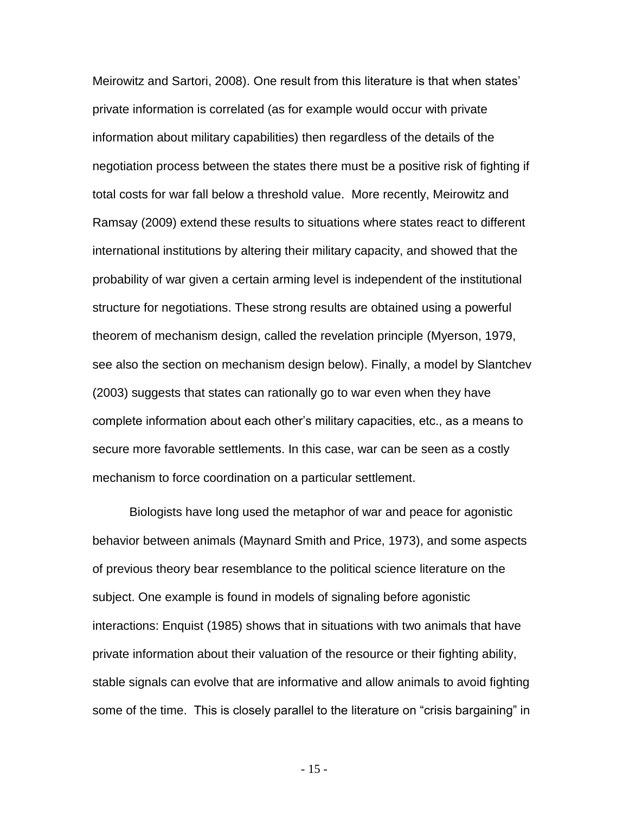Meirowitz and Sartori, 2008). One result from this literature is that when states' private information is correlated (as for example would occur with private information about military capabilities) then regardless of the details of the negotiation process between the states there must be a positive risk of fighting if total costs for war fall below a threshold value. More recently, Meirowitz and Ramsay (2009) extend these results to situations where states react to different international institutions by altering their military capacity, and showed that the probability of war given a certain arming level is independent of the institutional structure for negotiations. These strong results are obtained using a powerful theorem of mechanism design, called the revelation principle (Myerson, 1979, see also the section on mechanism design below). Finally, a model by Slantchev (2003) suggests that states can rationally go to war even when they have complete information about each other's military capacities, etc., as a means to secure more favorable settlements. In this case, war can be seen as a costly mechanism to force coordination on a particular settlement.

Biologists have long used the metaphor of war and peace for agonistic behavior between animals (Maynard Smith and Price, 1973), and some aspects of previous theory bear resemblance to the political science literature on the subject. One example is found in models of signaling before agonistic interactions: Enquist (1985) shows that in situations with two animals that have private information about their valuation of the resource or their fighting ability, stable signals can evolve that are informative and allow animals to avoid fighting some of the time.This is closely parallel to the literature on "crisis bargaining" in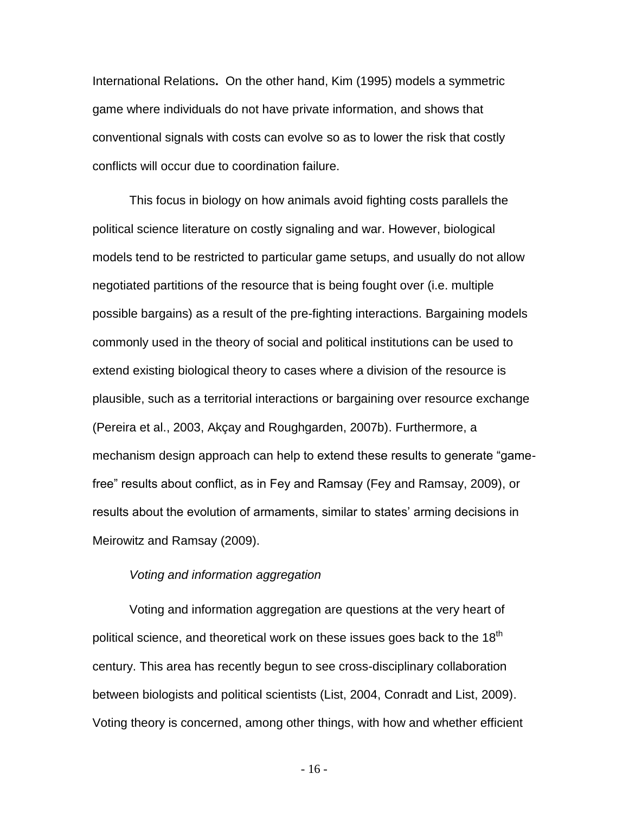International Relations**.** On the other hand, Kim (1995) models a symmetric game where individuals do not have private information, and shows that conventional signals with costs can evolve so as to lower the risk that costly conflicts will occur due to coordination failure.

This focus in biology on how animals avoid fighting costs parallels the political science literature on costly signaling and war. However, biological models tend to be restricted to particular game setups, and usually do not allow negotiated partitions of the resource that is being fought over (i.e. multiple possible bargains) as a result of the pre-fighting interactions. Bargaining models commonly used in the theory of social and political institutions can be used to extend existing biological theory to cases where a division of the resource is plausible, such as a territorial interactions or bargaining over resource exchange (Pereira et al., 2003, Akçay and Roughgarden, 2007b). Furthermore, a mechanism design approach can help to extend these results to generate "gamefree" results about conflict, as in Fey and Ramsay (Fey and Ramsay, 2009), or results about the evolution of armaments, similar to states' arming decisions in Meirowitz and Ramsay (2009).

#### *Voting and information aggregation*

Voting and information aggregation are questions at the very heart of political science, and theoretical work on these issues goes back to the  $18<sup>th</sup>$ century. This area has recently begun to see cross-disciplinary collaboration between biologists and political scientists (List, 2004, Conradt and List, 2009). Voting theory is concerned, among other things, with how and whether efficient

- 16 -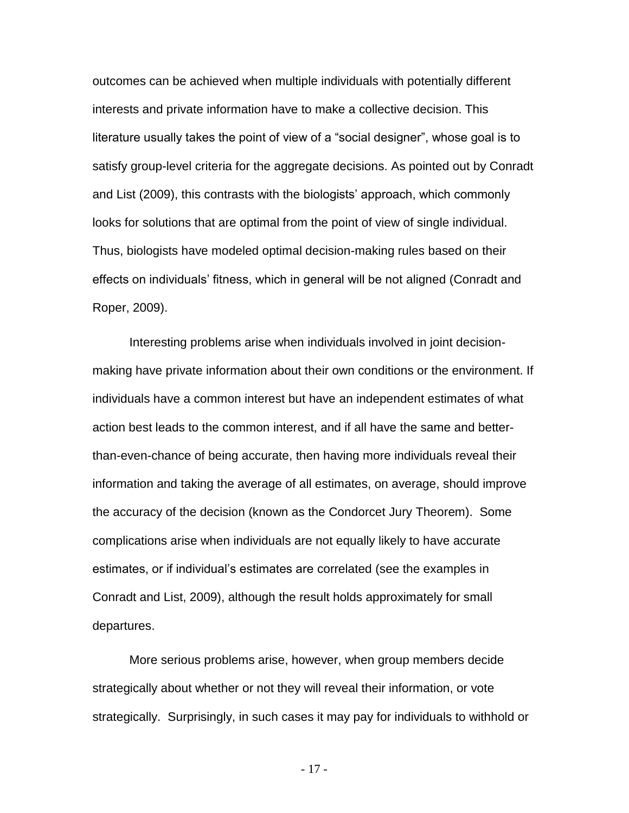outcomes can be achieved when multiple individuals with potentially different interests and private information have to make a collective decision. This literature usually takes the point of view of a "social designer", whose goal is to satisfy group-level criteria for the aggregate decisions. As pointed out by Conradt and List (2009), this contrasts with the biologists' approach, which commonly looks for solutions that are optimal from the point of view of single individual. Thus, biologists have modeled optimal decision-making rules based on their effects on individuals' fitness, which in general will be not aligned (Conradt and Roper, 2009).

Interesting problems arise when individuals involved in joint decisionmaking have private information about their own conditions or the environment. If individuals have a common interest but have an independent estimates of what action best leads to the common interest, and if all have the same and betterthan-even-chance of being accurate, then having more individuals reveal their information and taking the average of all estimates, on average, should improve the accuracy of the decision (known as the Condorcet Jury Theorem). Some complications arise when individuals are not equally likely to have accurate estimates, or if individual's estimates are correlated (see the examples in Conradt and List, 2009), although the result holds approximately for small departures.

More serious problems arise, however, when group members decide strategically about whether or not they will reveal their information, or vote strategically. Surprisingly, in such cases it may pay for individuals to withhold or

- 17 -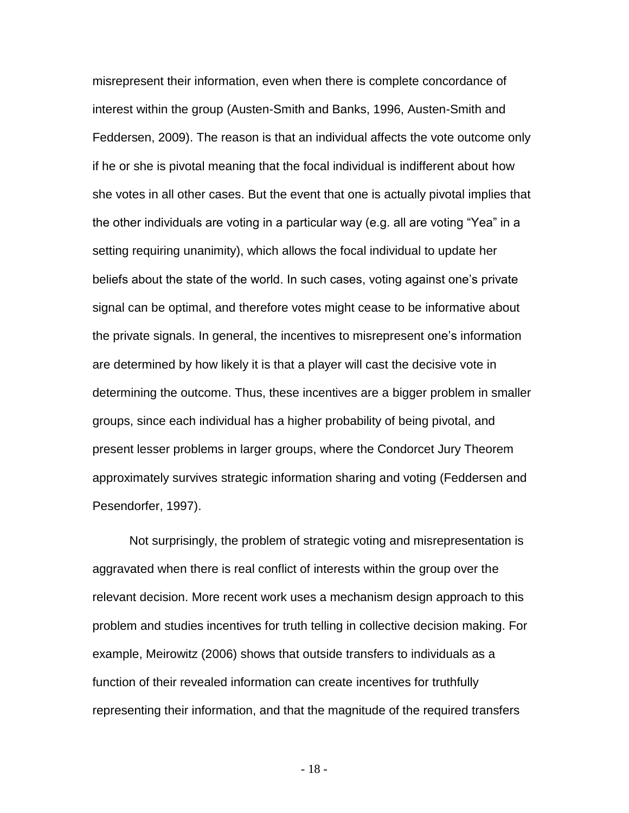misrepresent their information, even when there is complete concordance of interest within the group (Austen-Smith and Banks, 1996, Austen-Smith and Feddersen, 2009). The reason is that an individual affects the vote outcome only if he or she is pivotal meaning that the focal individual is indifferent about how she votes in all other cases. But the event that one is actually pivotal implies that the other individuals are voting in a particular way (e.g. all are voting "Yea" in a setting requiring unanimity), which allows the focal individual to update her beliefs about the state of the world. In such cases, voting against one's private signal can be optimal, and therefore votes might cease to be informative about the private signals. In general, the incentives to misrepresent one's information are determined by how likely it is that a player will cast the decisive vote in determining the outcome. Thus, these incentives are a bigger problem in smaller groups, since each individual has a higher probability of being pivotal, and present lesser problems in larger groups, where the Condorcet Jury Theorem approximately survives strategic information sharing and voting (Feddersen and Pesendorfer, 1997).

Not surprisingly, the problem of strategic voting and misrepresentation is aggravated when there is real conflict of interests within the group over the relevant decision. More recent work uses a mechanism design approach to this problem and studies incentives for truth telling in collective decision making. For example, Meirowitz (2006) shows that outside transfers to individuals as a function of their revealed information can create incentives for truthfully representing their information, and that the magnitude of the required transfers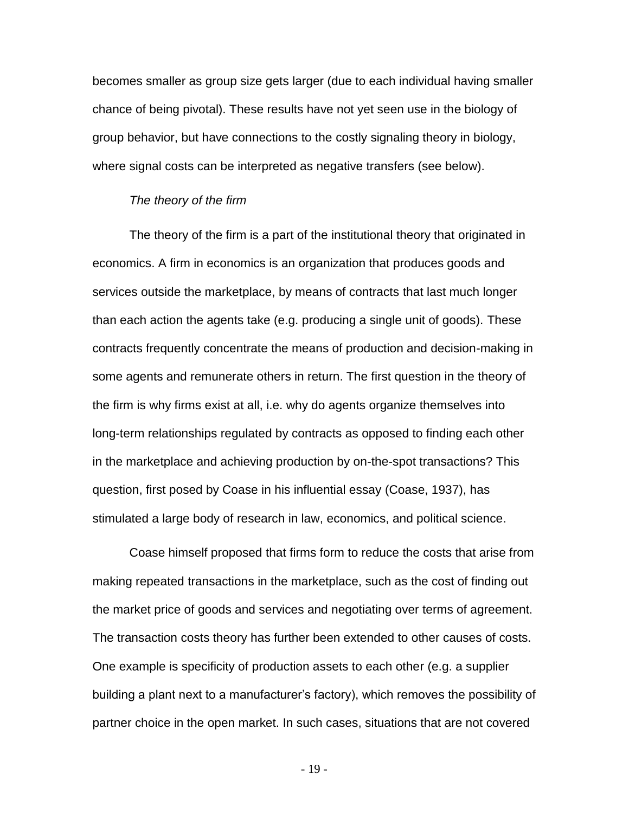becomes smaller as group size gets larger (due to each individual having smaller chance of being pivotal). These results have not yet seen use in the biology of group behavior, but have connections to the costly signaling theory in biology, where signal costs can be interpreted as negative transfers (see below).

#### *The theory of the firm*

The theory of the firm is a part of the institutional theory that originated in economics. A firm in economics is an organization that produces goods and services outside the marketplace, by means of contracts that last much longer than each action the agents take (e.g. producing a single unit of goods). These contracts frequently concentrate the means of production and decision-making in some agents and remunerate others in return. The first question in the theory of the firm is why firms exist at all, i.e. why do agents organize themselves into long-term relationships regulated by contracts as opposed to finding each other in the marketplace and achieving production by on-the-spot transactions? This question, first posed by Coase in his influential essay (Coase, 1937), has stimulated a large body of research in law, economics, and political science.

Coase himself proposed that firms form to reduce the costs that arise from making repeated transactions in the marketplace, such as the cost of finding out the market price of goods and services and negotiating over terms of agreement. The transaction costs theory has further been extended to other causes of costs. One example is specificity of production assets to each other (e.g. a supplier building a plant next to a manufacturer's factory), which removes the possibility of partner choice in the open market. In such cases, situations that are not covered

- 19 -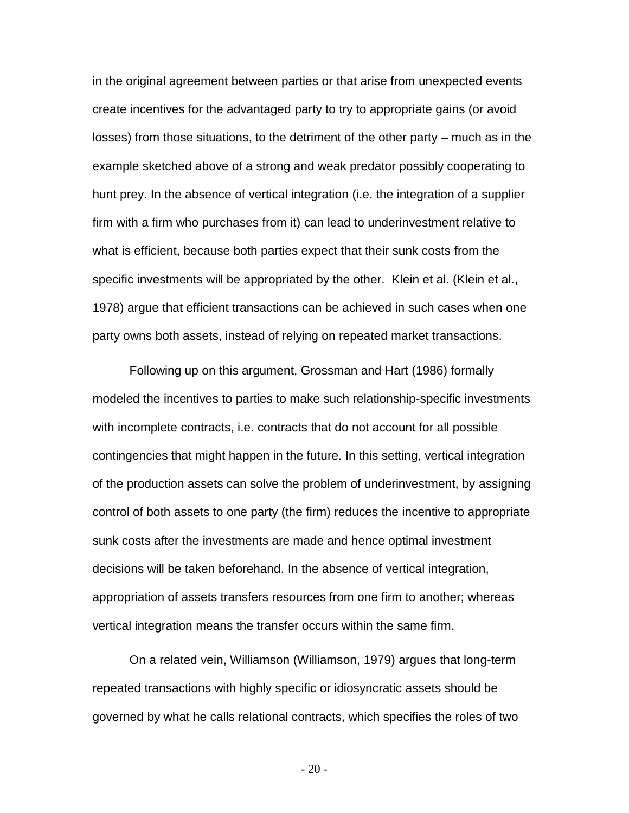in the original agreement between parties or that arise from unexpected events create incentives for the advantaged party to try to appropriate gains (or avoid losses) from those situations, to the detriment of the other party – much as in the example sketched above of a strong and weak predator possibly cooperating to hunt prey. In the absence of vertical integration (i.e. the integration of a supplier firm with a firm who purchases from it) can lead to underinvestment relative to what is efficient, because both parties expect that their sunk costs from the specific investments will be appropriated by the other. Klein et al. (Klein et al., 1978) argue that efficient transactions can be achieved in such cases when one party owns both assets, instead of relying on repeated market transactions.

Following up on this argument, Grossman and Hart (1986) formally modeled the incentives to parties to make such relationship-specific investments with incomplete contracts, i.e. contracts that do not account for all possible contingencies that might happen in the future. In this setting, vertical integration of the production assets can solve the problem of underinvestment, by assigning control of both assets to one party (the firm) reduces the incentive to appropriate sunk costs after the investments are made and hence optimal investment decisions will be taken beforehand. In the absence of vertical integration, appropriation of assets transfers resources from one firm to another; whereas vertical integration means the transfer occurs within the same firm.

On a related vein, Williamson (Williamson, 1979) argues that long-term repeated transactions with highly specific or idiosyncratic assets should be governed by what he calls relational contracts, which specifies the roles of two

- 20 -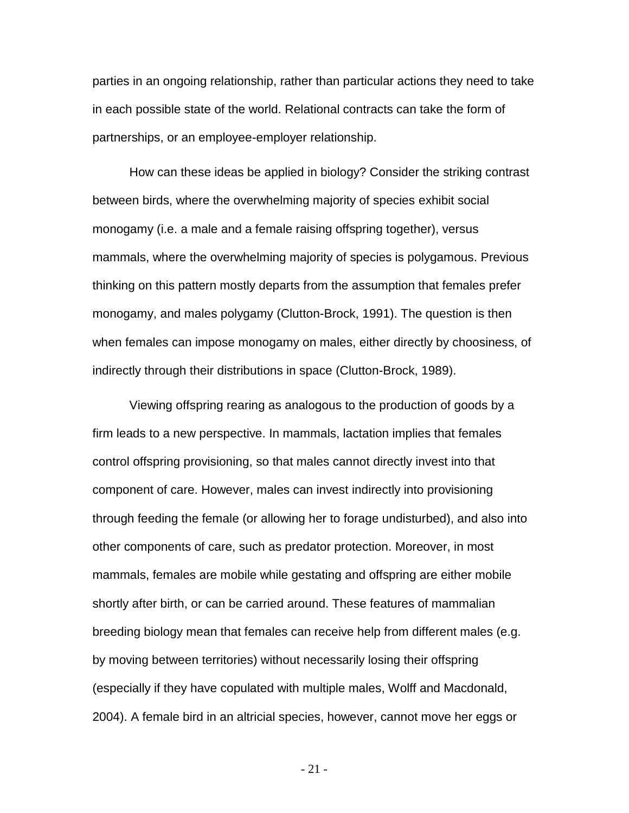parties in an ongoing relationship, rather than particular actions they need to take in each possible state of the world. Relational contracts can take the form of partnerships, or an employee-employer relationship.

How can these ideas be applied in biology? Consider the striking contrast between birds, where the overwhelming majority of species exhibit social monogamy (i.e. a male and a female raising offspring together), versus mammals, where the overwhelming majority of species is polygamous. Previous thinking on this pattern mostly departs from the assumption that females prefer monogamy, and males polygamy (Clutton-Brock, 1991). The question is then when females can impose monogamy on males, either directly by choosiness, of indirectly through their distributions in space (Clutton-Brock, 1989).

Viewing offspring rearing as analogous to the production of goods by a firm leads to a new perspective. In mammals, lactation implies that females control offspring provisioning, so that males cannot directly invest into that component of care. However, males can invest indirectly into provisioning through feeding the female (or allowing her to forage undisturbed), and also into other components of care, such as predator protection. Moreover, in most mammals, females are mobile while gestating and offspring are either mobile shortly after birth, or can be carried around. These features of mammalian breeding biology mean that females can receive help from different males (e.g. by moving between territories) without necessarily losing their offspring (especially if they have copulated with multiple males, Wolff and Macdonald, 2004). A female bird in an altricial species, however, cannot move her eggs or

- 21 -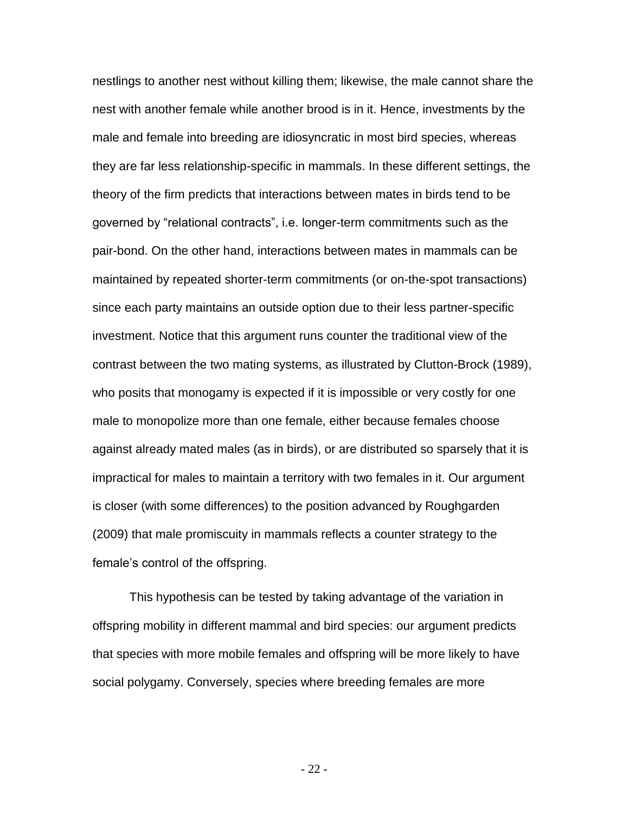nestlings to another nest without killing them; likewise, the male cannot share the nest with another female while another brood is in it. Hence, investments by the male and female into breeding are idiosyncratic in most bird species, whereas they are far less relationship-specific in mammals. In these different settings, the theory of the firm predicts that interactions between mates in birds tend to be governed by "relational contracts", i.e. longer-term commitments such as the pair-bond. On the other hand, interactions between mates in mammals can be maintained by repeated shorter-term commitments (or on-the-spot transactions) since each party maintains an outside option due to their less partner-specific investment. Notice that this argument runs counter the traditional view of the contrast between the two mating systems, as illustrated by Clutton-Brock (1989), who posits that monogamy is expected if it is impossible or very costly for one male to monopolize more than one female, either because females choose against already mated males (as in birds), or are distributed so sparsely that it is impractical for males to maintain a territory with two females in it. Our argument is closer (with some differences) to the position advanced by Roughgarden (2009) that male promiscuity in mammals reflects a counter strategy to the female's control of the offspring.

This hypothesis can be tested by taking advantage of the variation in offspring mobility in different mammal and bird species: our argument predicts that species with more mobile females and offspring will be more likely to have social polygamy. Conversely, species where breeding females are more

- 22 -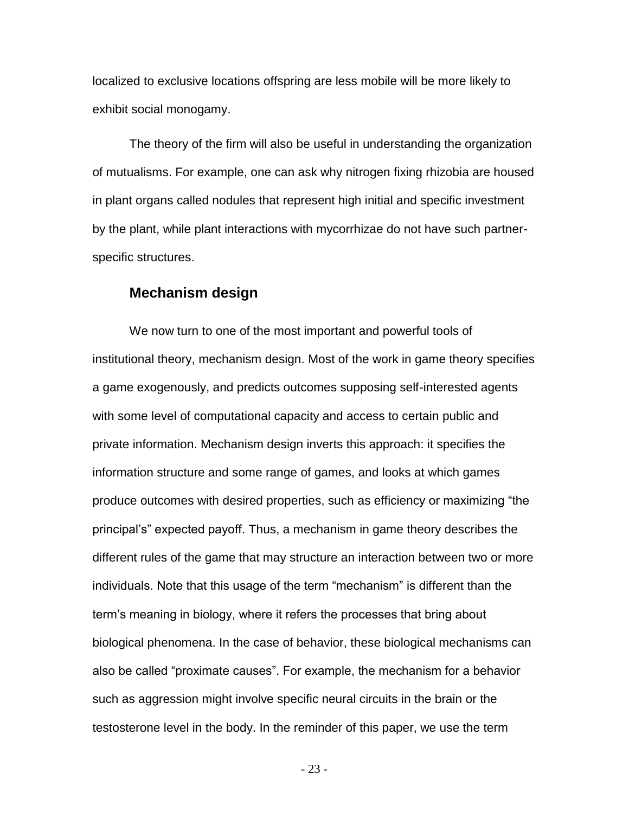localized to exclusive locations offspring are less mobile will be more likely to exhibit social monogamy.

The theory of the firm will also be useful in understanding the organization of mutualisms. For example, one can ask why nitrogen fixing rhizobia are housed in plant organs called nodules that represent high initial and specific investment by the plant, while plant interactions with mycorrhizae do not have such partnerspecific structures.

#### **Mechanism design**

We now turn to one of the most important and powerful tools of institutional theory, mechanism design. Most of the work in game theory specifies a game exogenously, and predicts outcomes supposing self-interested agents with some level of computational capacity and access to certain public and private information. Mechanism design inverts this approach: it specifies the information structure and some range of games, and looks at which games produce outcomes with desired properties, such as efficiency or maximizing "the principal's" expected payoff. Thus, a mechanism in game theory describes the different rules of the game that may structure an interaction between two or more individuals. Note that this usage of the term "mechanism" is different than the term's meaning in biology, where it refers the processes that bring about biological phenomena. In the case of behavior, these biological mechanisms can also be called "proximate causes". For example, the mechanism for a behavior such as aggression might involve specific neural circuits in the brain or the testosterone level in the body. In the reminder of this paper, we use the term

- 23 -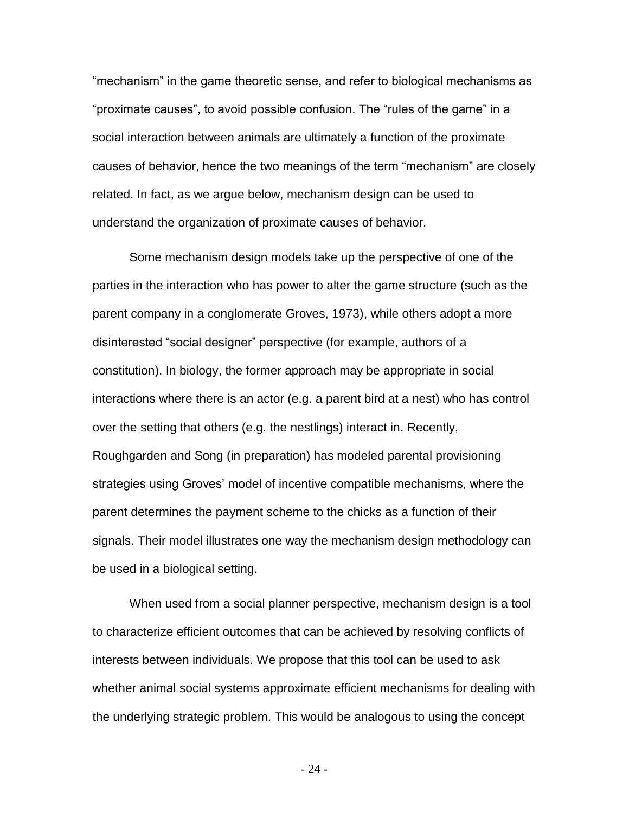"mechanism" in the game theoretic sense, and refer to biological mechanisms as "proximate causes", to avoid possible confusion. The "rules of the game" in a social interaction between animals are ultimately a function of the proximate causes of behavior, hence the two meanings of the term "mechanism" are closely related. In fact, as we argue below, mechanism design can be used to understand the organization of proximate causes of behavior.

Some mechanism design models take up the perspective of one of the parties in the interaction who has power to alter the game structure (such as the parent company in a conglomerate Groves, 1973), while others adopt a more disinterested "social designer" perspective (for example, authors of a constitution). In biology, the former approach may be appropriate in social interactions where there is an actor (e.g. a parent bird at a nest) who has control over the setting that others (e.g. the nestlings) interact in. Recently, Roughgarden and Song (in preparation) has modeled parental provisioning strategies using Groves' model of incentive compatible mechanisms, where the parent determines the payment scheme to the chicks as a function of their signals. Their model illustrates one way the mechanism design methodology can be used in a biological setting.

When used from a social planner perspective, mechanism design is a tool to characterize efficient outcomes that can be achieved by resolving conflicts of interests between individuals. We propose that this tool can be used to ask whether animal social systems approximate efficient mechanisms for dealing with the underlying strategic problem. This would be analogous to using the concept

- 24 -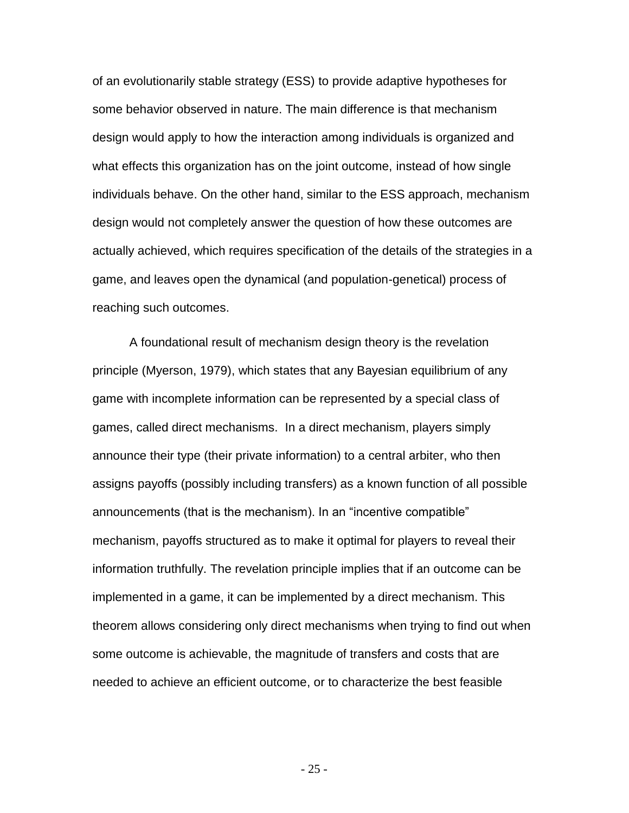of an evolutionarily stable strategy (ESS) to provide adaptive hypotheses for some behavior observed in nature. The main difference is that mechanism design would apply to how the interaction among individuals is organized and what effects this organization has on the joint outcome, instead of how single individuals behave. On the other hand, similar to the ESS approach, mechanism design would not completely answer the question of how these outcomes are actually achieved, which requires specification of the details of the strategies in a game, and leaves open the dynamical (and population-genetical) process of reaching such outcomes.

A foundational result of mechanism design theory is the revelation principle (Myerson, 1979), which states that any Bayesian equilibrium of any game with incomplete information can be represented by a special class of games, called direct mechanisms. In a direct mechanism, players simply announce their type (their private information) to a central arbiter, who then assigns payoffs (possibly including transfers) as a known function of all possible announcements (that is the mechanism). In an "incentive compatible" mechanism, payoffs structured as to make it optimal for players to reveal their information truthfully. The revelation principle implies that if an outcome can be implemented in a game, it can be implemented by a direct mechanism. This theorem allows considering only direct mechanisms when trying to find out when some outcome is achievable, the magnitude of transfers and costs that are needed to achieve an efficient outcome, or to characterize the best feasible

- 25 -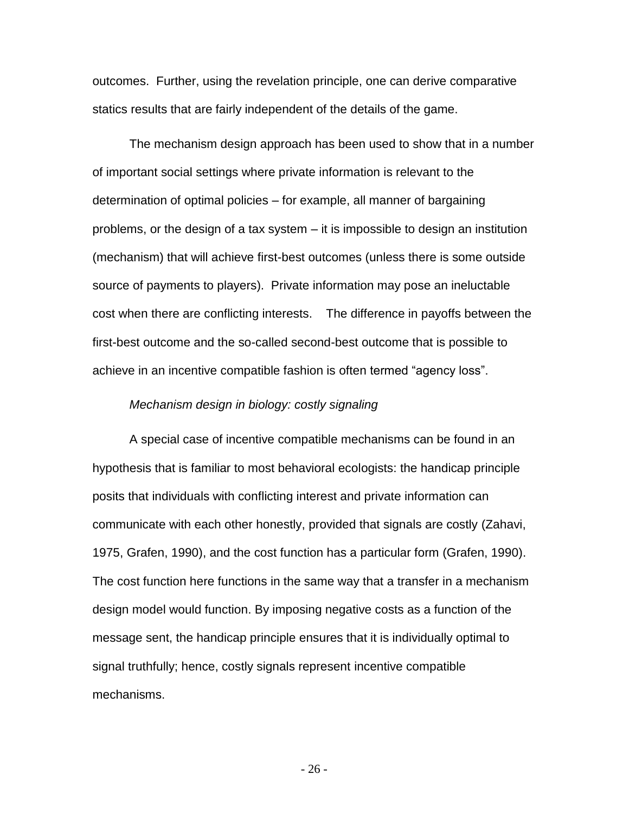outcomes. Further, using the revelation principle, one can derive comparative statics results that are fairly independent of the details of the game.

The mechanism design approach has been used to show that in a number of important social settings where private information is relevant to the determination of optimal policies – for example, all manner of bargaining problems, or the design of a tax system – it is impossible to design an institution (mechanism) that will achieve first-best outcomes (unless there is some outside source of payments to players). Private information may pose an ineluctable cost when there are conflicting interests. The difference in payoffs between the first-best outcome and the so-called second-best outcome that is possible to achieve in an incentive compatible fashion is often termed "agency loss".

#### *Mechanism design in biology: costly signaling*

A special case of incentive compatible mechanisms can be found in an hypothesis that is familiar to most behavioral ecologists: the handicap principle posits that individuals with conflicting interest and private information can communicate with each other honestly, provided that signals are costly (Zahavi, 1975, Grafen, 1990), and the cost function has a particular form (Grafen, 1990). The cost function here functions in the same way that a transfer in a mechanism design model would function. By imposing negative costs as a function of the message sent, the handicap principle ensures that it is individually optimal to signal truthfully; hence, costly signals represent incentive compatible mechanisms.

- 26 -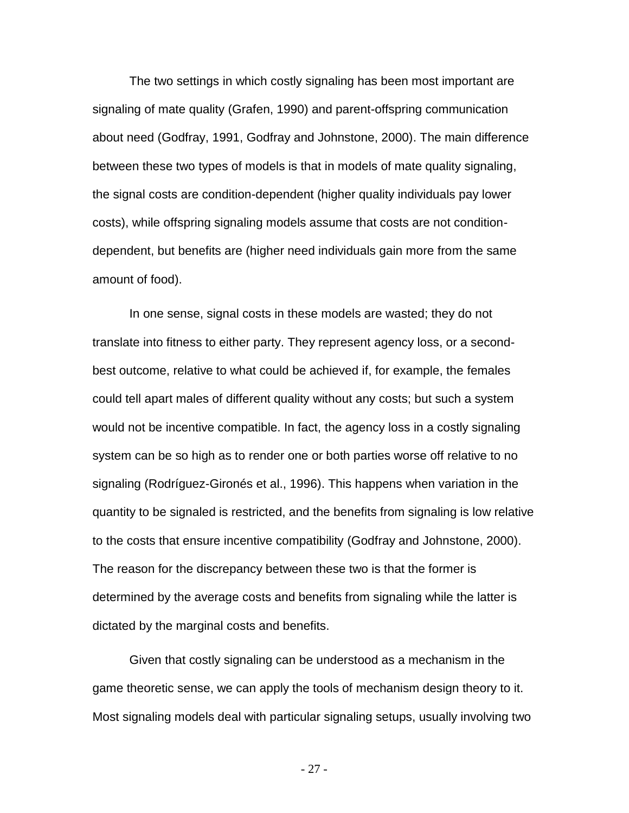The two settings in which costly signaling has been most important are signaling of mate quality (Grafen, 1990) and parent-offspring communication about need (Godfray, 1991, Godfray and Johnstone, 2000). The main difference between these two types of models is that in models of mate quality signaling, the signal costs are condition-dependent (higher quality individuals pay lower costs), while offspring signaling models assume that costs are not conditiondependent, but benefits are (higher need individuals gain more from the same amount of food).

In one sense, signal costs in these models are wasted; they do not translate into fitness to either party. They represent agency loss, or a secondbest outcome, relative to what could be achieved if, for example, the females could tell apart males of different quality without any costs; but such a system would not be incentive compatible. In fact, the agency loss in a costly signaling system can be so high as to render one or both parties worse off relative to no signaling (Rodríguez-Gironés et al., 1996). This happens when variation in the quantity to be signaled is restricted, and the benefits from signaling is low relative to the costs that ensure incentive compatibility (Godfray and Johnstone, 2000). The reason for the discrepancy between these two is that the former is determined by the average costs and benefits from signaling while the latter is dictated by the marginal costs and benefits.

Given that costly signaling can be understood as a mechanism in the game theoretic sense, we can apply the tools of mechanism design theory to it. Most signaling models deal with particular signaling setups, usually involving two

- 27 -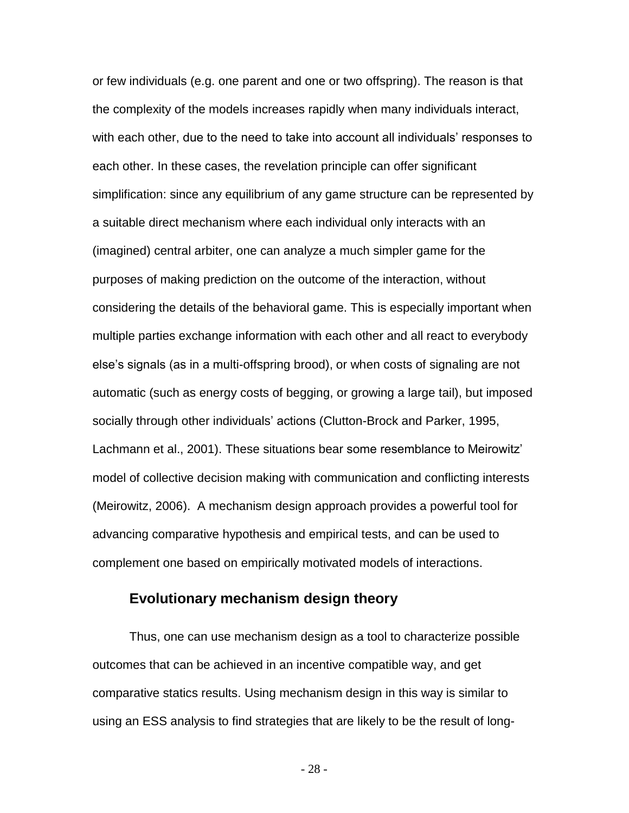or few individuals (e.g. one parent and one or two offspring). The reason is that the complexity of the models increases rapidly when many individuals interact, with each other, due to the need to take into account all individuals' responses to each other. In these cases, the revelation principle can offer significant simplification: since any equilibrium of any game structure can be represented by a suitable direct mechanism where each individual only interacts with an (imagined) central arbiter, one can analyze a much simpler game for the purposes of making prediction on the outcome of the interaction, without considering the details of the behavioral game. This is especially important when multiple parties exchange information with each other and all react to everybody else's signals (as in a multi-offspring brood), or when costs of signaling are not automatic (such as energy costs of begging, or growing a large tail), but imposed socially through other individuals' actions (Clutton-Brock and Parker, 1995, Lachmann et al., 2001). These situations bear some resemblance to Meirowitz' model of collective decision making with communication and conflicting interests (Meirowitz, 2006). A mechanism design approach provides a powerful tool for advancing comparative hypothesis and empirical tests, and can be used to complement one based on empirically motivated models of interactions.

## **Evolutionary mechanism design theory**

Thus, one can use mechanism design as a tool to characterize possible outcomes that can be achieved in an incentive compatible way, and get comparative statics results. Using mechanism design in this way is similar to using an ESS analysis to find strategies that are likely to be the result of long-

- 28 -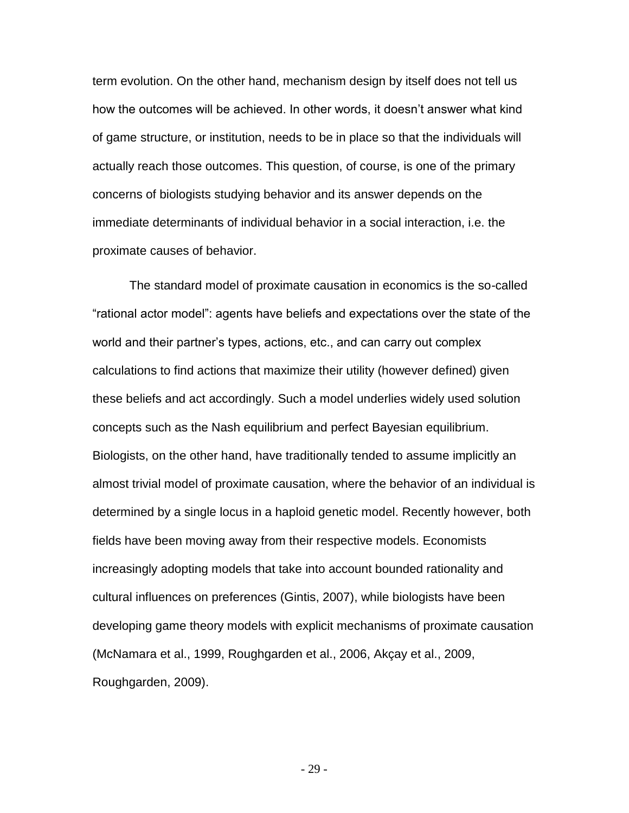term evolution. On the other hand, mechanism design by itself does not tell us how the outcomes will be achieved. In other words, it doesn't answer what kind of game structure, or institution, needs to be in place so that the individuals will actually reach those outcomes. This question, of course, is one of the primary concerns of biologists studying behavior and its answer depends on the immediate determinants of individual behavior in a social interaction, i.e. the proximate causes of behavior.

The standard model of proximate causation in economics is the so-called "rational actor model": agents have beliefs and expectations over the state of the world and their partner's types, actions, etc., and can carry out complex calculations to find actions that maximize their utility (however defined) given these beliefs and act accordingly. Such a model underlies widely used solution concepts such as the Nash equilibrium and perfect Bayesian equilibrium. Biologists, on the other hand, have traditionally tended to assume implicitly an almost trivial model of proximate causation, where the behavior of an individual is determined by a single locus in a haploid genetic model. Recently however, both fields have been moving away from their respective models. Economists increasingly adopting models that take into account bounded rationality and cultural influences on preferences (Gintis, 2007), while biologists have been developing game theory models with explicit mechanisms of proximate causation (McNamara et al., 1999, Roughgarden et al., 2006, Akçay et al., 2009, Roughgarden, 2009).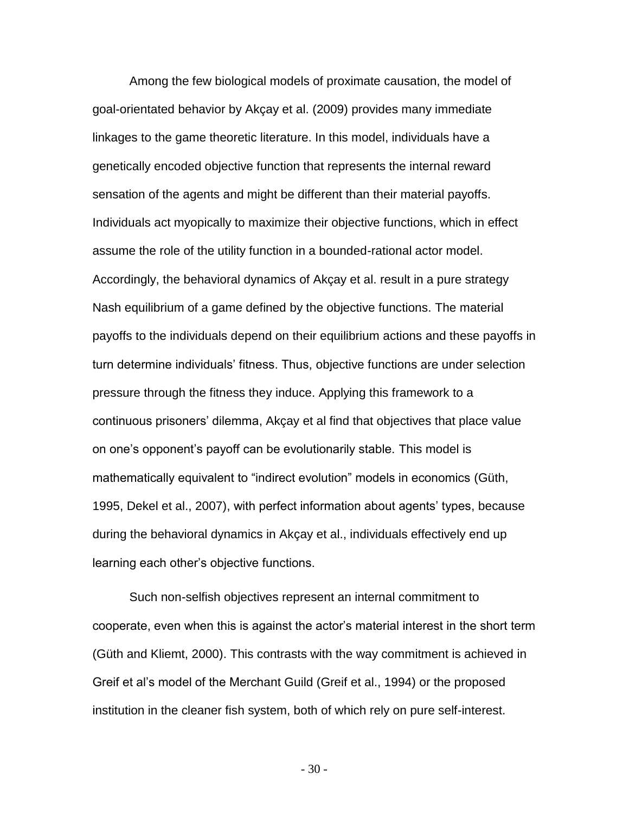Among the few biological models of proximate causation, the model of goal-orientated behavior by Akçay et al. (2009) provides many immediate linkages to the game theoretic literature. In this model, individuals have a genetically encoded objective function that represents the internal reward sensation of the agents and might be different than their material payoffs. Individuals act myopically to maximize their objective functions, which in effect assume the role of the utility function in a bounded-rational actor model. Accordingly, the behavioral dynamics of Akçay et al. result in a pure strategy Nash equilibrium of a game defined by the objective functions. The material payoffs to the individuals depend on their equilibrium actions and these payoffs in turn determine individuals' fitness. Thus, objective functions are under selection pressure through the fitness they induce. Applying this framework to a continuous prisoners' dilemma, Akçay et al find that objectives that place value on one's opponent's payoff can be evolutionarily stable. This model is mathematically equivalent to "indirect evolution" models in economics (Güth, 1995, Dekel et al., 2007), with perfect information about agents' types, because during the behavioral dynamics in Akçay et al., individuals effectively end up learning each other's objective functions.

Such non-selfish objectives represent an internal commitment to cooperate, even when this is against the actor's material interest in the short term (Güth and Kliemt, 2000). This contrasts with the way commitment is achieved in Greif et al's model of the Merchant Guild (Greif et al., 1994) or the proposed institution in the cleaner fish system, both of which rely on pure self-interest.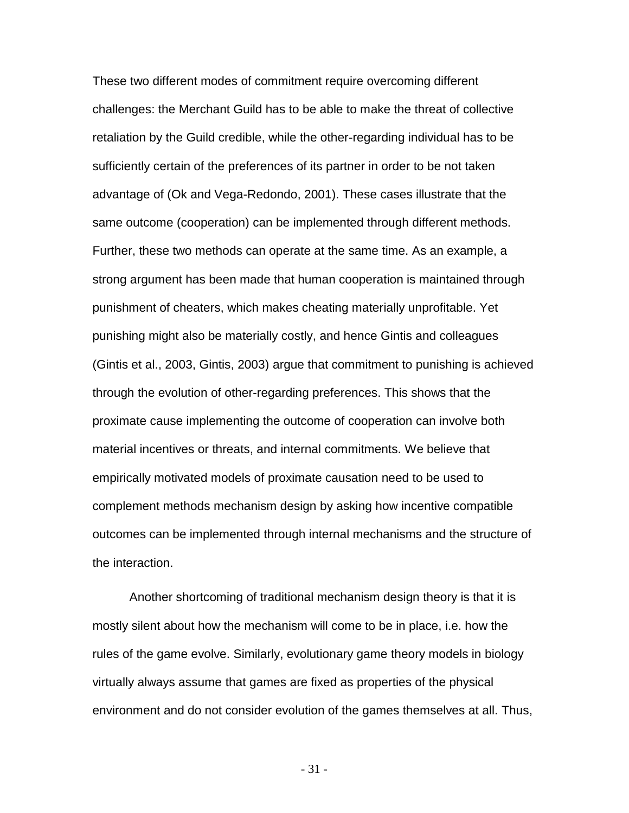These two different modes of commitment require overcoming different challenges: the Merchant Guild has to be able to make the threat of collective retaliation by the Guild credible, while the other-regarding individual has to be sufficiently certain of the preferences of its partner in order to be not taken advantage of (Ok and Vega-Redondo, 2001). These cases illustrate that the same outcome (cooperation) can be implemented through different methods. Further, these two methods can operate at the same time. As an example, a strong argument has been made that human cooperation is maintained through punishment of cheaters, which makes cheating materially unprofitable. Yet punishing might also be materially costly, and hence Gintis and colleagues (Gintis et al., 2003, Gintis, 2003) argue that commitment to punishing is achieved through the evolution of other-regarding preferences. This shows that the proximate cause implementing the outcome of cooperation can involve both material incentives or threats, and internal commitments. We believe that empirically motivated models of proximate causation need to be used to complement methods mechanism design by asking how incentive compatible outcomes can be implemented through internal mechanisms and the structure of the interaction.

Another shortcoming of traditional mechanism design theory is that it is mostly silent about how the mechanism will come to be in place, i.e. how the rules of the game evolve. Similarly, evolutionary game theory models in biology virtually always assume that games are fixed as properties of the physical environment and do not consider evolution of the games themselves at all. Thus,

- 31 -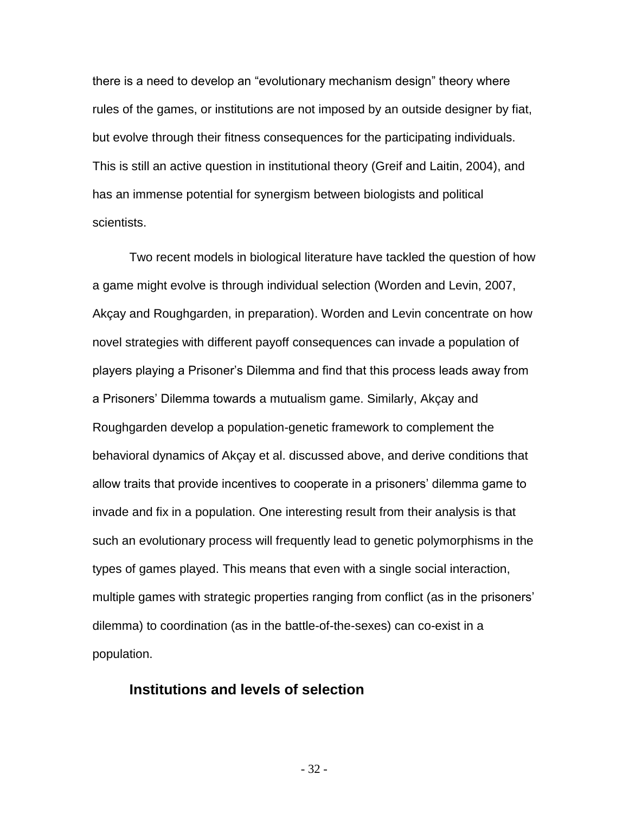there is a need to develop an "evolutionary mechanism design" theory where rules of the games, or institutions are not imposed by an outside designer by fiat, but evolve through their fitness consequences for the participating individuals. This is still an active question in institutional theory (Greif and Laitin, 2004), and has an immense potential for synergism between biologists and political scientists.

Two recent models in biological literature have tackled the question of how a game might evolve is through individual selection (Worden and Levin, 2007, Akçay and Roughgarden, in preparation). Worden and Levin concentrate on how novel strategies with different payoff consequences can invade a population of players playing a Prisoner's Dilemma and find that this process leads away from a Prisoners' Dilemma towards a mutualism game. Similarly, Akçay and Roughgarden develop a population-genetic framework to complement the behavioral dynamics of Akçay et al. discussed above, and derive conditions that allow traits that provide incentives to cooperate in a prisoners' dilemma game to invade and fix in a population. One interesting result from their analysis is that such an evolutionary process will frequently lead to genetic polymorphisms in the types of games played. This means that even with a single social interaction, multiple games with strategic properties ranging from conflict (as in the prisoners' dilemma) to coordination (as in the battle-of-the-sexes) can co-exist in a population.

### **Institutions and levels of selection**

- 32 -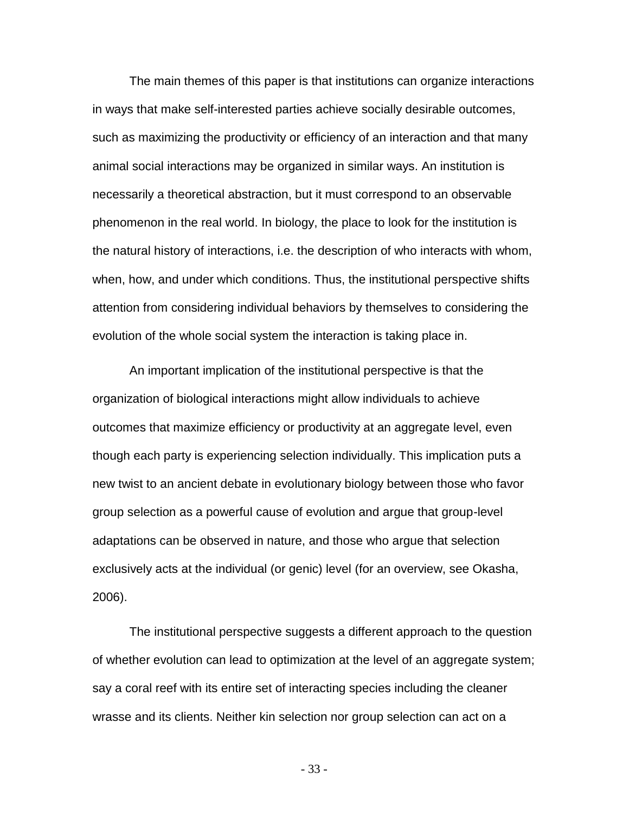The main themes of this paper is that institutions can organize interactions in ways that make self-interested parties achieve socially desirable outcomes, such as maximizing the productivity or efficiency of an interaction and that many animal social interactions may be organized in similar ways. An institution is necessarily a theoretical abstraction, but it must correspond to an observable phenomenon in the real world. In biology, the place to look for the institution is the natural history of interactions, i.e. the description of who interacts with whom, when, how, and under which conditions. Thus, the institutional perspective shifts attention from considering individual behaviors by themselves to considering the evolution of the whole social system the interaction is taking place in.

An important implication of the institutional perspective is that the organization of biological interactions might allow individuals to achieve outcomes that maximize efficiency or productivity at an aggregate level, even though each party is experiencing selection individually. This implication puts a new twist to an ancient debate in evolutionary biology between those who favor group selection as a powerful cause of evolution and argue that group-level adaptations can be observed in nature, and those who argue that selection exclusively acts at the individual (or genic) level (for an overview, see Okasha, 2006).

The institutional perspective suggests a different approach to the question of whether evolution can lead to optimization at the level of an aggregate system; say a coral reef with its entire set of interacting species including the cleaner wrasse and its clients. Neither kin selection nor group selection can act on a

- 33 -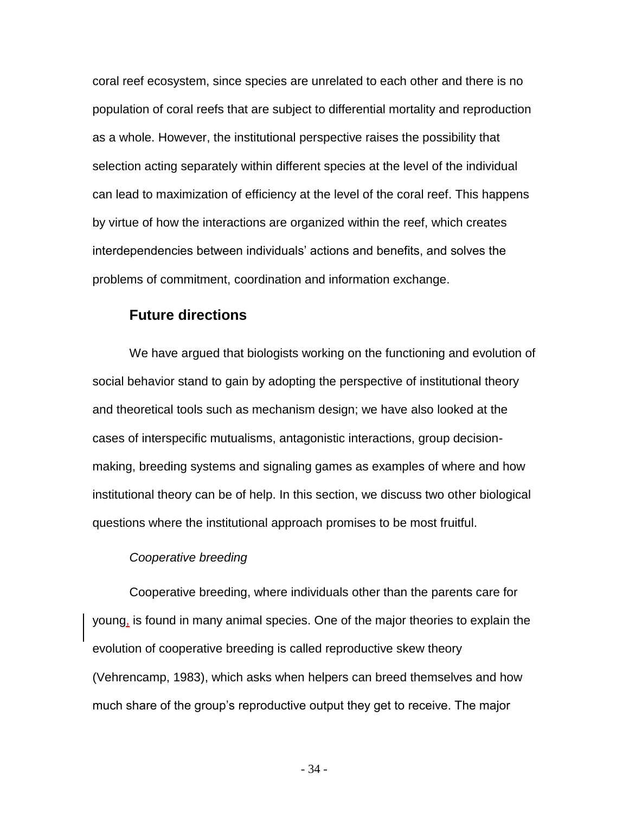coral reef ecosystem, since species are unrelated to each other and there is no population of coral reefs that are subject to differential mortality and reproduction as a whole. However, the institutional perspective raises the possibility that selection acting separately within different species at the level of the individual can lead to maximization of efficiency at the level of the coral reef. This happens by virtue of how the interactions are organized within the reef, which creates interdependencies between individuals' actions and benefits, and solves the problems of commitment, coordination and information exchange.

## **Future directions**

We have argued that biologists working on the functioning and evolution of social behavior stand to gain by adopting the perspective of institutional theory and theoretical tools such as mechanism design; we have also looked at the cases of interspecific mutualisms, antagonistic interactions, group decisionmaking, breeding systems and signaling games as examples of where and how institutional theory can be of help. In this section, we discuss two other biological questions where the institutional approach promises to be most fruitful.

#### *Cooperative breeding*

Cooperative breeding, where individuals other than the parents care for young, is found in many animal species. One of the major theories to explain the evolution of cooperative breeding is called reproductive skew theory (Vehrencamp, 1983), which asks when helpers can breed themselves and how much share of the group's reproductive output they get to receive. The major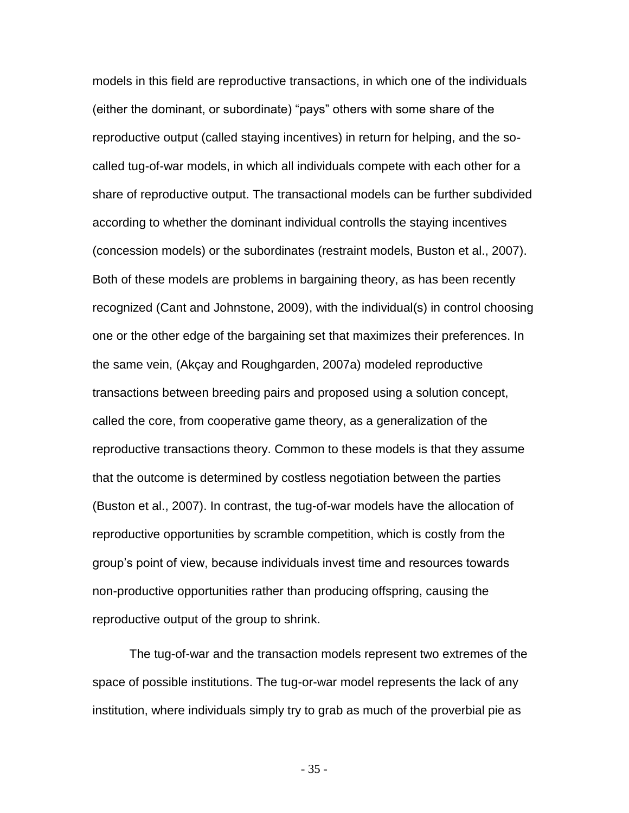models in this field are reproductive transactions, in which one of the individuals (either the dominant, or subordinate) "pays" others with some share of the reproductive output (called staying incentives) in return for helping, and the socalled tug-of-war models, in which all individuals compete with each other for a share of reproductive output. The transactional models can be further subdivided according to whether the dominant individual controlls the staying incentives (concession models) or the subordinates (restraint models, Buston et al., 2007). Both of these models are problems in bargaining theory, as has been recently recognized (Cant and Johnstone, 2009), with the individual(s) in control choosing one or the other edge of the bargaining set that maximizes their preferences. In the same vein, (Akçay and Roughgarden, 2007a) modeled reproductive transactions between breeding pairs and proposed using a solution concept, called the core, from cooperative game theory, as a generalization of the reproductive transactions theory. Common to these models is that they assume that the outcome is determined by costless negotiation between the parties (Buston et al., 2007). In contrast, the tug-of-war models have the allocation of reproductive opportunities by scramble competition, which is costly from the group's point of view, because individuals invest time and resources towards non-productive opportunities rather than producing offspring, causing the reproductive output of the group to shrink.

The tug-of-war and the transaction models represent two extremes of the space of possible institutions. The tug-or-war model represents the lack of any institution, where individuals simply try to grab as much of the proverbial pie as

- 35 -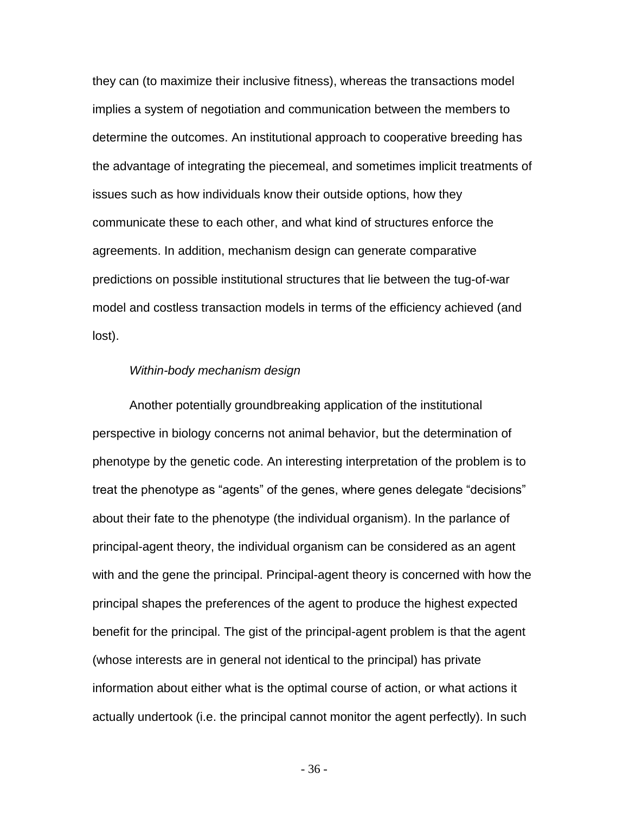they can (to maximize their inclusive fitness), whereas the transactions model implies a system of negotiation and communication between the members to determine the outcomes. An institutional approach to cooperative breeding has the advantage of integrating the piecemeal, and sometimes implicit treatments of issues such as how individuals know their outside options, how they communicate these to each other, and what kind of structures enforce the agreements. In addition, mechanism design can generate comparative predictions on possible institutional structures that lie between the tug-of-war model and costless transaction models in terms of the efficiency achieved (and lost).

#### *Within-body mechanism design*

Another potentially groundbreaking application of the institutional perspective in biology concerns not animal behavior, but the determination of phenotype by the genetic code. An interesting interpretation of the problem is to treat the phenotype as "agents" of the genes, where genes delegate "decisions" about their fate to the phenotype (the individual organism). In the parlance of principal-agent theory, the individual organism can be considered as an agent with and the gene the principal. Principal-agent theory is concerned with how the principal shapes the preferences of the agent to produce the highest expected benefit for the principal. The gist of the principal-agent problem is that the agent (whose interests are in general not identical to the principal) has private information about either what is the optimal course of action, or what actions it actually undertook (i.e. the principal cannot monitor the agent perfectly). In such

- 36 -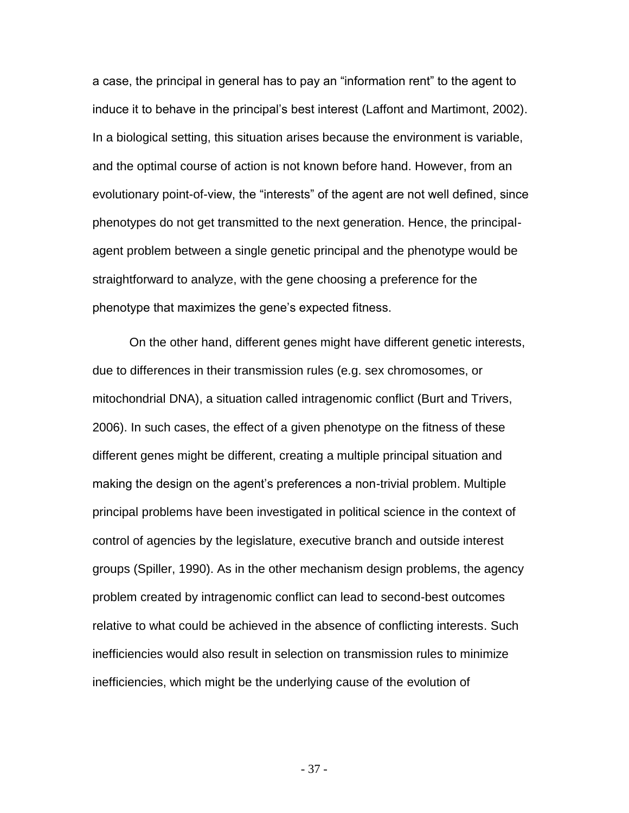a case, the principal in general has to pay an "information rent" to the agent to induce it to behave in the principal's best interest (Laffont and Martimont, 2002). In a biological setting, this situation arises because the environment is variable, and the optimal course of action is not known before hand. However, from an evolutionary point-of-view, the "interests" of the agent are not well defined, since phenotypes do not get transmitted to the next generation. Hence, the principalagent problem between a single genetic principal and the phenotype would be straightforward to analyze, with the gene choosing a preference for the phenotype that maximizes the gene's expected fitness.

On the other hand, different genes might have different genetic interests, due to differences in their transmission rules (e.g. sex chromosomes, or mitochondrial DNA), a situation called intragenomic conflict (Burt and Trivers, 2006). In such cases, the effect of a given phenotype on the fitness of these different genes might be different, creating a multiple principal situation and making the design on the agent's preferences a non-trivial problem. Multiple principal problems have been investigated in political science in the context of control of agencies by the legislature, executive branch and outside interest groups (Spiller, 1990). As in the other mechanism design problems, the agency problem created by intragenomic conflict can lead to second-best outcomes relative to what could be achieved in the absence of conflicting interests. Such inefficiencies would also result in selection on transmission rules to minimize inefficiencies, which might be the underlying cause of the evolution of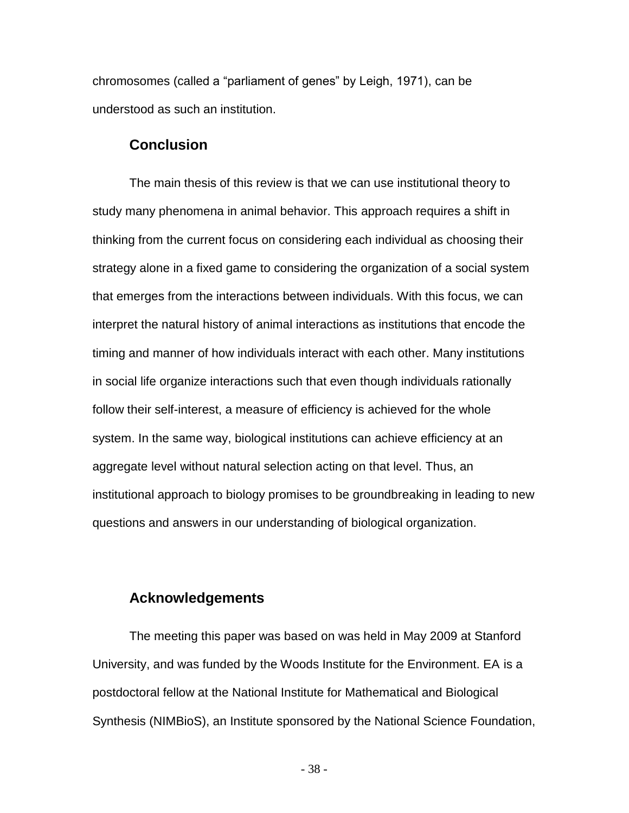chromosomes (called a "parliament of genes" by Leigh, 1971), can be understood as such an institution.

### **Conclusion**

The main thesis of this review is that we can use institutional theory to study many phenomena in animal behavior. This approach requires a shift in thinking from the current focus on considering each individual as choosing their strategy alone in a fixed game to considering the organization of a social system that emerges from the interactions between individuals. With this focus, we can interpret the natural history of animal interactions as institutions that encode the timing and manner of how individuals interact with each other. Many institutions in social life organize interactions such that even though individuals rationally follow their self-interest, a measure of efficiency is achieved for the whole system. In the same way, biological institutions can achieve efficiency at an aggregate level without natural selection acting on that level. Thus, an institutional approach to biology promises to be groundbreaking in leading to new questions and answers in our understanding of biological organization.

## **Acknowledgements**

The meeting this paper was based on was held in May 2009 at Stanford University, and was funded by the Woods Institute for the Environment. EA is a postdoctoral fellow at the National Institute for Mathematical and Biological Synthesis (NIMBioS), an Institute sponsored by the National Science Foundation,

- 38 -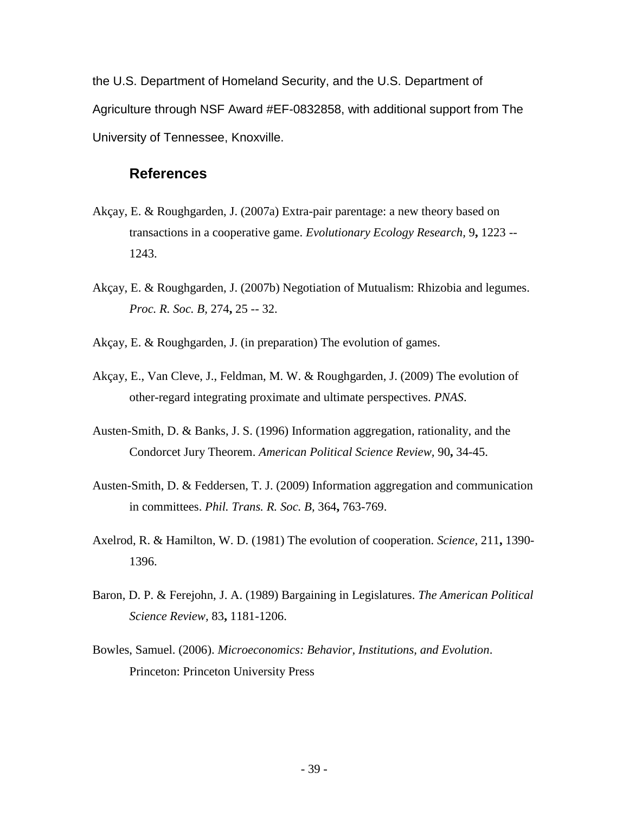the U.S. Department of Homeland Security, and the U.S. Department of Agriculture through NSF Award #EF-0832858, with additional support from The University of Tennessee, Knoxville.

## **References**

- Akçay, E. & Roughgarden, J. (2007a) Extra-pair parentage: a new theory based on transactions in a cooperative game. *Evolutionary Ecology Research,* 9**,** 1223 -- 1243.
- Akçay, E. & Roughgarden, J. (2007b) Negotiation of Mutualism: Rhizobia and legumes. *Proc. R. Soc. B,* 274**,** 25 -- 32.
- Akçay, E. & Roughgarden, J. (in preparation) The evolution of games.
- Akçay, E., Van Cleve, J., Feldman, M. W. & Roughgarden, J. (2009) The evolution of other-regard integrating proximate and ultimate perspectives. *PNAS*.
- Austen-Smith, D. & Banks, J. S. (1996) Information aggregation, rationality, and the Condorcet Jury Theorem. *American Political Science Review,* 90**,** 34-45.
- Austen-Smith, D. & Feddersen, T. J. (2009) Information aggregation and communication in committees. *Phil. Trans. R. Soc. B,* 364**,** 763-769.
- Axelrod, R. & Hamilton, W. D. (1981) The evolution of cooperation. *Science,* 211**,** 1390- 1396.
- Baron, D. P. & Ferejohn, J. A. (1989) Bargaining in Legislatures. *The American Political Science Review,* 83**,** 1181-1206.
- Bowles, Samuel. (2006). *Microeconomics: Behavior, Institutions, and Evolution*. Princeton: Princeton University Press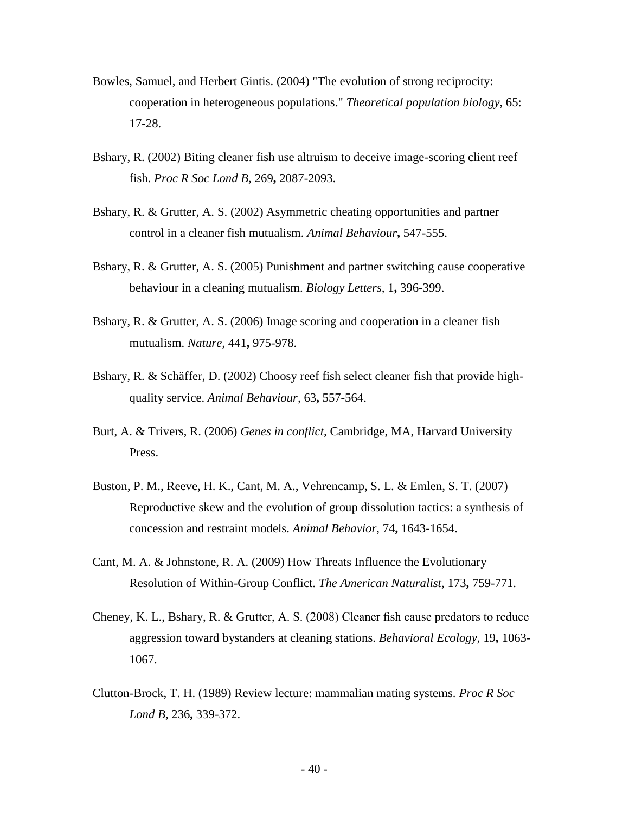- Bowles, Samuel, and Herbert Gintis. (2004) "The evolution of strong reciprocity: cooperation in heterogeneous populations." *Theoretical population biology*, 65: 17-28.
- Bshary, R. (2002) Biting cleaner fish use altruism to deceive image-scoring client reef fish. *Proc R Soc Lond B,* 269**,** 2087-2093.
- Bshary, R. & Grutter, A. S. (2002) Asymmetric cheating opportunities and partner control in a cleaner fish mutualism. *Animal Behaviour***,** 547-555.
- Bshary, R. & Grutter, A. S. (2005) Punishment and partner switching cause cooperative behaviour in a cleaning mutualism. *Biology Letters,* 1**,** 396-399.
- Bshary, R. & Grutter, A. S. (2006) Image scoring and cooperation in a cleaner fish mutualism. *Nature,* 441**,** 975-978.
- Bshary, R. & Schäffer, D. (2002) Choosy reef fish select cleaner fish that provide highquality service. *Animal Behaviour,* 63**,** 557-564.
- Burt, A. & Trivers, R. (2006) *Genes in conflict,* Cambridge, MA, Harvard University Press.
- Buston, P. M., Reeve, H. K., Cant, M. A., Vehrencamp, S. L. & Emlen, S. T. (2007) Reproductive skew and the evolution of group dissolution tactics: a synthesis of concession and restraint models. *Animal Behavior,* 74**,** 1643-1654.
- Cant, M. A. & Johnstone, R. A. (2009) How Threats Influence the Evolutionary Resolution of Within-Group Conflict. *The American Naturalist,* 173**,** 759-771.
- Cheney, K. L., Bshary, R. & Grutter, A. S. (2008) Cleaner fish cause predators to reduce aggression toward bystanders at cleaning stations. *Behavioral Ecology,* 19**,** 1063- 1067.
- Clutton-Brock, T. H. (1989) Review lecture: mammalian mating systems. *Proc R Soc Lond B,* 236**,** 339-372.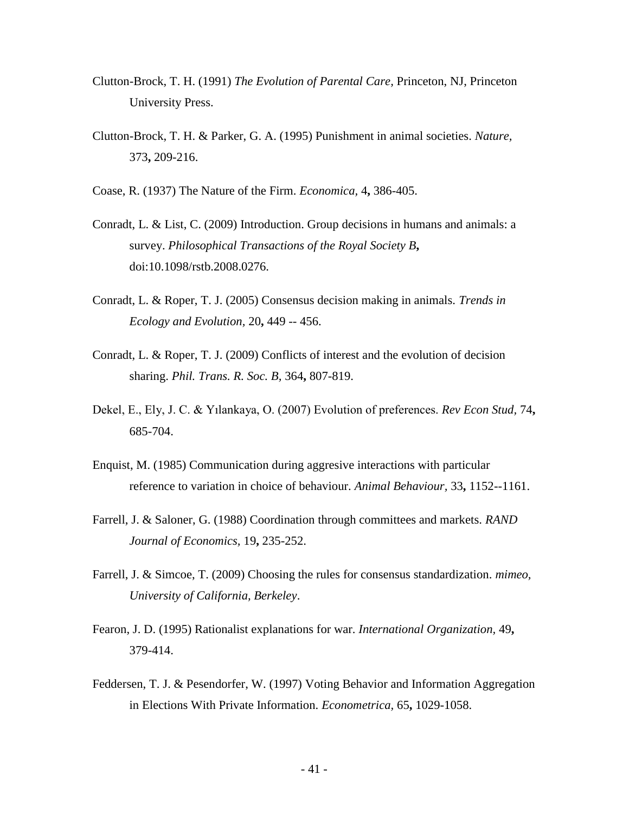- Clutton-Brock, T. H. (1991) *The Evolution of Parental Care,* Princeton, NJ, Princeton University Press.
- Clutton-Brock, T. H. & Parker, G. A. (1995) Punishment in animal societies. *Nature,* 373**,** 209-216.
- Coase, R. (1937) The Nature of the Firm. *Economica,* 4**,** 386-405.
- Conradt, L. & List, C. (2009) Introduction. Group decisions in humans and animals: a survey. *Philosophical Transactions of the Royal Society B***,** doi:10.1098/rstb.2008.0276.
- Conradt, L. & Roper, T. J. (2005) Consensus decision making in animals. *Trends in Ecology and Evolution,* 20**,** 449 -- 456.
- Conradt, L. & Roper, T. J. (2009) Conflicts of interest and the evolution of decision sharing. *Phil. Trans. R. Soc. B,* 364**,** 807-819.
- Dekel, E., Ely, J. C. & Yılankaya, O. (2007) Evolution of preferences. *Rev Econ Stud,* 74**,** 685-704.
- Enquist, M. (1985) Communication during aggresive interactions with particular reference to variation in choice of behaviour. *Animal Behaviour,* 33**,** 1152--1161.
- Farrell, J. & Saloner, G. (1988) Coordination through committees and markets. *RAND Journal of Economics,* 19**,** 235-252.
- Farrell, J. & Simcoe, T. (2009) Choosing the rules for consensus standardization. *mimeo, University of California, Berkeley*.
- Fearon, J. D. (1995) Rationalist explanations for war. *International Organization,* 49**,** 379-414.
- Feddersen, T. J. & Pesendorfer, W. (1997) Voting Behavior and Information Aggregation in Elections With Private Information. *Econometrica,* 65**,** 1029-1058.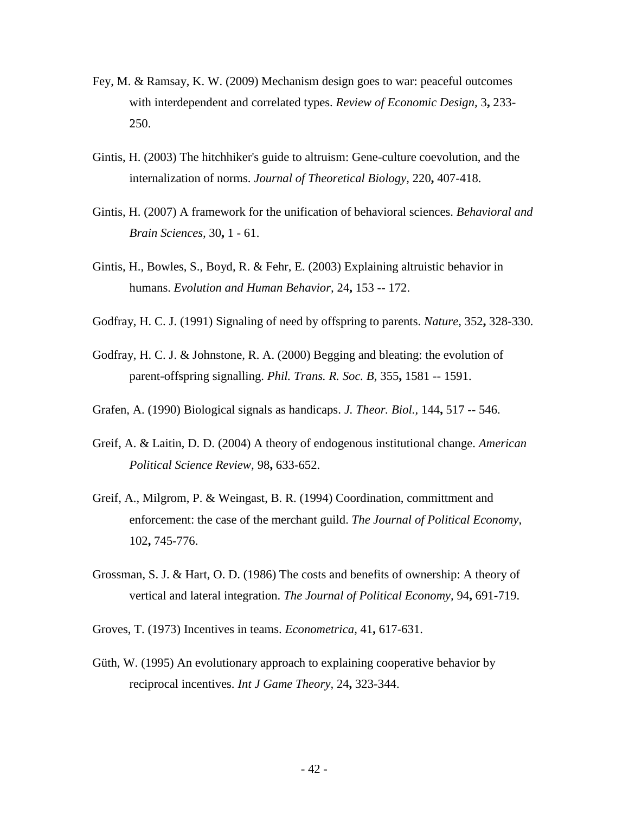- Fey, M. & Ramsay, K. W. (2009) Mechanism design goes to war: peaceful outcomes with interdependent and correlated types. *Review of Economic Design,* 3**,** 233- 250.
- Gintis, H. (2003) The hitchhiker's guide to altruism: Gene-culture coevolution, and the internalization of norms. *Journal of Theoretical Biology,* 220**,** 407-418.
- Gintis, H. (2007) A framework for the unification of behavioral sciences. *Behavioral and Brain Sciences,* 30**,** 1 - 61.
- Gintis, H., Bowles, S., Boyd, R. & Fehr, E. (2003) Explaining altruistic behavior in humans. *Evolution and Human Behavior,* 24**,** 153 -- 172.
- Godfray, H. C. J. (1991) Signaling of need by offspring to parents. *Nature,* 352**,** 328-330.
- Godfray, H. C. J. & Johnstone, R. A. (2000) Begging and bleating: the evolution of parent-offspring signalling. *Phil. Trans. R. Soc. B,* 355**,** 1581 -- 1591.
- Grafen, A. (1990) Biological signals as handicaps. *J. Theor. Biol.,* 144**,** 517 -- 546.
- Greif, A. & Laitin, D. D. (2004) A theory of endogenous institutional change. *American Political Science Review,* 98**,** 633-652.
- Greif, A., Milgrom, P. & Weingast, B. R. (1994) Coordination, committment and enforcement: the case of the merchant guild. *The Journal of Political Economy,* 102**,** 745-776.
- Grossman, S. J. & Hart, O. D. (1986) The costs and benefits of ownership: A theory of vertical and lateral integration. *The Journal of Political Economy,* 94**,** 691-719.

Groves, T. (1973) Incentives in teams. *Econometrica,* 41**,** 617-631.

Güth, W. (1995) An evolutionary approach to explaining cooperative behavior by reciprocal incentives. *Int J Game Theory,* 24**,** 323-344.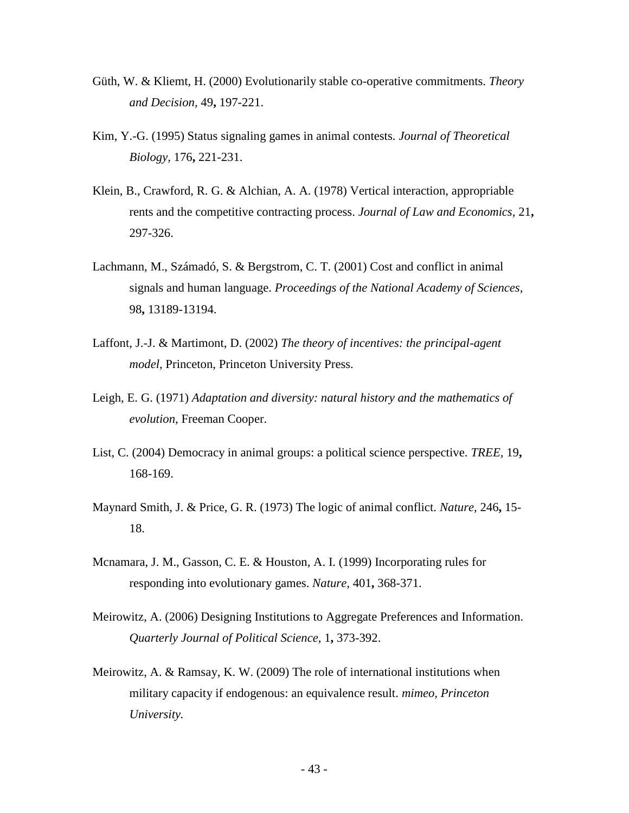- Güth, W. & Kliemt, H. (2000) Evolutionarily stable co-operative commitments. *Theory and Decision,* 49**,** 197-221.
- Kim, Y.-G. (1995) Status signaling games in animal contests. *Journal of Theoretical Biology,* 176**,** 221-231.
- Klein, B., Crawford, R. G. & Alchian, A. A. (1978) Vertical interaction, appropriable rents and the competitive contracting process. *Journal of Law and Economics,* 21**,** 297-326.
- Lachmann, M., Számadó, S. & Bergstrom, C. T. (2001) Cost and conflict in animal signals and human language. *Proceedings of the National Academy of Sciences,* 98**,** 13189-13194.
- Laffont, J.-J. & Martimont, D. (2002) *The theory of incentives: the principal-agent model,* Princeton, Princeton University Press.
- Leigh, E. G. (1971) *Adaptation and diversity: natural history and the mathematics of evolution*, Freeman Cooper.
- List, C. (2004) Democracy in animal groups: a political science perspective. *TREE,* 19**,** 168-169.
- Maynard Smith, J. & Price, G. R. (1973) The logic of animal conflict. *Nature,* 246**,** 15- 18.
- Mcnamara, J. M., Gasson, C. E. & Houston, A. I. (1999) Incorporating rules for responding into evolutionary games. *Nature,* 401**,** 368-371.
- Meirowitz, A. (2006) Designing Institutions to Aggregate Preferences and Information. *Quarterly Journal of Political Science,* 1**,** 373-392.
- Meirowitz, A. & Ramsay, K. W. (2009) The role of international institutions when military capacity if endogenous: an equivalence result. *mimeo, Princeton University.*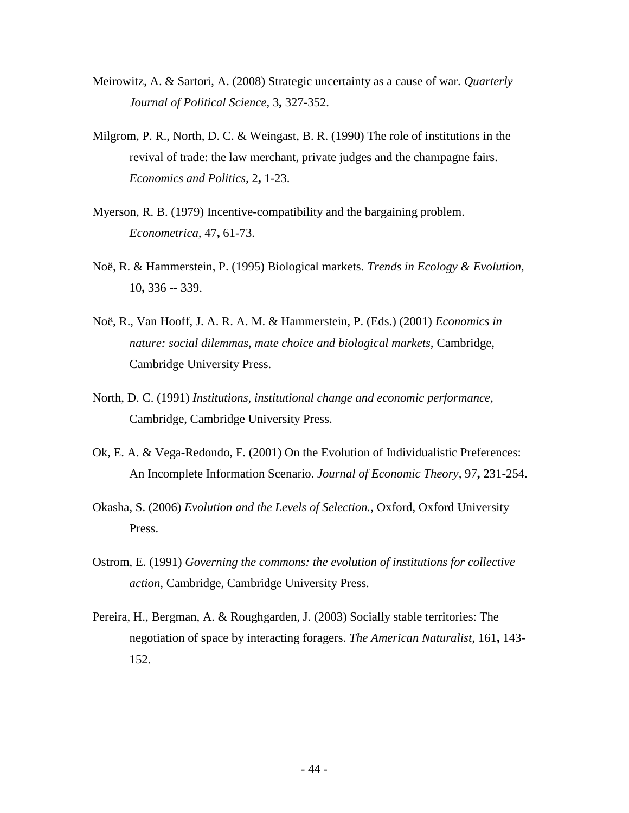- Meirowitz, A. & Sartori, A. (2008) Strategic uncertainty as a cause of war. *Quarterly Journal of Political Science,* 3**,** 327-352.
- Milgrom, P. R., North, D. C. & Weingast, B. R. (1990) The role of institutions in the revival of trade: the law merchant, private judges and the champagne fairs. *Economics and Politics,* 2**,** 1-23.
- Myerson, R. B. (1979) Incentive-compatibility and the bargaining problem. *Econometrica,* 47**,** 61-73.
- Noë, R. & Hammerstein, P. (1995) Biological markets. *Trends in Ecology & Evolution,* 10**,** 336 -- 339.
- Noë, R., Van Hooff, J. A. R. A. M. & Hammerstein, P. (Eds.) (2001) *Economics in nature: social dilemmas, mate choice and biological markets,* Cambridge, Cambridge University Press.
- North, D. C. (1991) *Institutions, institutional change and economic performance,*  Cambridge, Cambridge University Press.
- Ok, E. A. & Vega-Redondo, F. (2001) On the Evolution of Individualistic Preferences: An Incomplete Information Scenario. *Journal of Economic Theory,* 97**,** 231-254.
- Okasha, S. (2006) *Evolution and the Levels of Selection.,* Oxford, Oxford University Press.
- Ostrom, E. (1991) *Governing the commons: the evolution of institutions for collective action,* Cambridge, Cambridge University Press.
- Pereira, H., Bergman, A. & Roughgarden, J. (2003) Socially stable territories: The negotiation of space by interacting foragers. *The American Naturalist,* 161**,** 143- 152.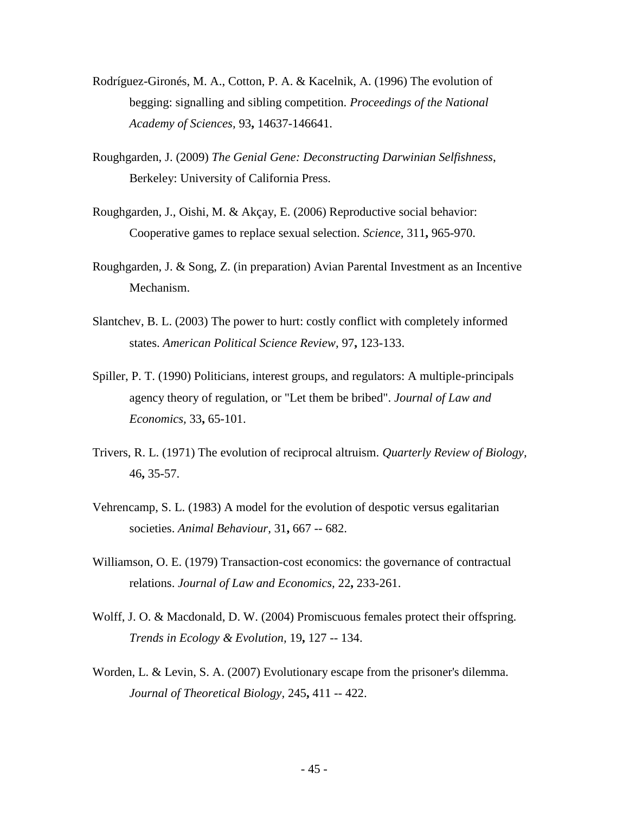- Rodríguez-Gironés, M. A., Cotton, P. A. & Kacelnik, A. (1996) The evolution of begging: signalling and sibling competition. *Proceedings of the National Academy of Sciences,* 93**,** 14637-146641.
- Roughgarden, J. (2009) *The Genial Gene: Deconstructing Darwinian Selfishness*, Berkeley: University of California Press.
- Roughgarden, J., Oishi, M. & Akçay, E. (2006) Reproductive social behavior: Cooperative games to replace sexual selection. *Science,* 311**,** 965-970.
- Roughgarden, J. & Song, Z. (in preparation) Avian Parental Investment as an Incentive Mechanism.
- Slantchev, B. L. (2003) The power to hurt: costly conflict with completely informed states. *American Political Science Review,* 97**,** 123-133.
- Spiller, P. T. (1990) Politicians, interest groups, and regulators: A multiple-principals agency theory of regulation, or "Let them be bribed". *Journal of Law and Economics,* 33**,** 65-101.
- Trivers, R. L. (1971) The evolution of reciprocal altruism. *Quarterly Review of Biology,* 46**,** 35-57.
- Vehrencamp, S. L. (1983) A model for the evolution of despotic versus egalitarian societies. *Animal Behaviour,* 31**,** 667 -- 682.
- Williamson, O. E. (1979) Transaction-cost economics: the governance of contractual relations. *Journal of Law and Economics,* 22**,** 233-261.
- Wolff, J. O. & Macdonald, D. W. (2004) Promiscuous females protect their offspring. *Trends in Ecology & Evolution,* 19**,** 127 -- 134.
- Worden, L. & Levin, S. A. (2007) Evolutionary escape from the prisoner's dilemma. *Journal of Theoretical Biology,* 245**,** 411 -- 422.